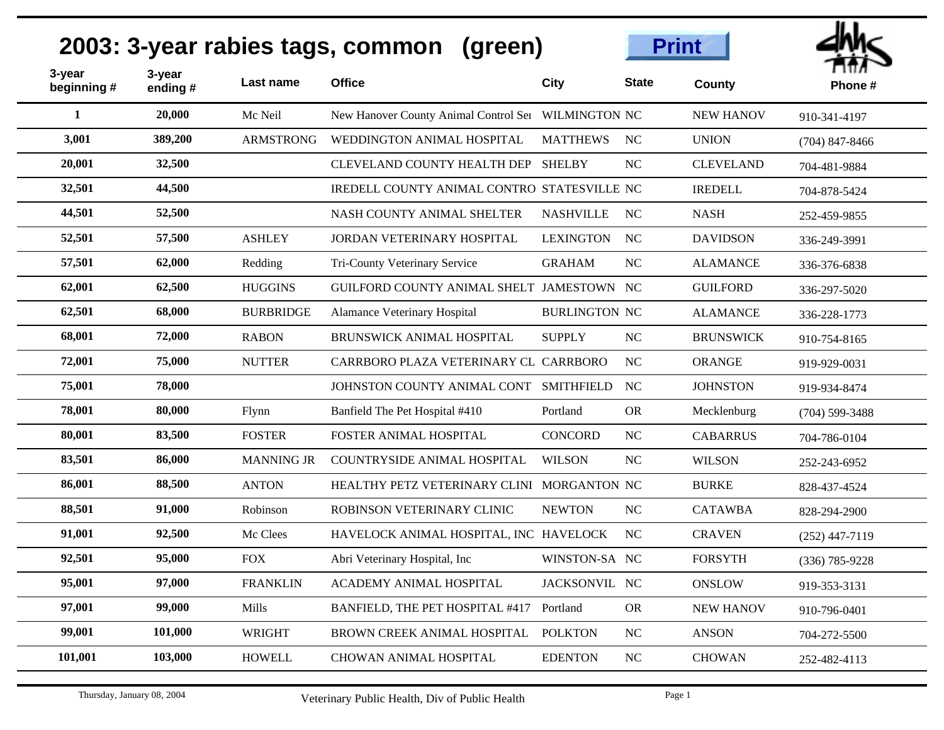| 3-year<br>beginning # | 3-year<br>ending# | Last name         | <b>Office</b>                                       | City                 | <b>State</b>   | County           | Phone#           |
|-----------------------|-------------------|-------------------|-----------------------------------------------------|----------------------|----------------|------------------|------------------|
| 1                     | 20,000            | Mc Neil           | New Hanover County Animal Control Ser WILMINGTON NC |                      |                | <b>NEW HANOV</b> | 910-341-4197     |
| 3,001                 | 389,200           | <b>ARMSTRONG</b>  | WEDDINGTON ANIMAL HOSPITAL                          | <b>MATTHEWS</b>      | N <sub>C</sub> | <b>UNION</b>     | $(704)$ 847-8466 |
| 20,001                | 32,500            |                   | <b>CLEVELAND COUNTY HEALTH DEP</b>                  | <b>SHELBY</b>        | <b>NC</b>      | <b>CLEVELAND</b> | 704-481-9884     |
| 32,501                | 44,500            |                   | IREDELL COUNTY ANIMAL CONTRO STATESVILLE NC         |                      |                | <b>IREDELL</b>   | 704-878-5424     |
| 44,501                | 52,500            |                   | NASH COUNTY ANIMAL SHELTER                          | <b>NASHVILLE</b>     | NC             | <b>NASH</b>      | 252-459-9855     |
| 52,501                | 57,500            | <b>ASHLEY</b>     | <b>JORDAN VETERINARY HOSPITAL</b>                   | <b>LEXINGTON</b>     | NC             | <b>DAVIDSON</b>  | 336-249-3991     |
| 57,501                | 62,000            | Redding           | Tri-County Veterinary Service                       | <b>GRAHAM</b>        | NC             | <b>ALAMANCE</b>  | 336-376-6838     |
| 62,001                | 62,500            | <b>HUGGINS</b>    | GUILFORD COUNTY ANIMAL SHELT JAMESTOWN NC           |                      |                | <b>GUILFORD</b>  | 336-297-5020     |
| 62,501                | 68,000            | <b>BURBRIDGE</b>  | Alamance Veterinary Hospital                        | <b>BURLINGTON NC</b> |                | <b>ALAMANCE</b>  | 336-228-1773     |
| 68,001                | 72,000            | <b>RABON</b>      | <b>BRUNSWICK ANIMAL HOSPITAL</b>                    | <b>SUPPLY</b>        | NC             | <b>BRUNSWICK</b> | 910-754-8165     |
| 72,001                | 75,000            | <b>NUTTER</b>     | CARRBORO PLAZA VETERINARY CL CARRBORO               |                      | NC             | <b>ORANGE</b>    | 919-929-0031     |
| 75,001                | 78,000            |                   | JOHNSTON COUNTY ANIMAL CONT                         | <b>SMITHFIELD</b>    | N <sub>C</sub> | <b>JOHNSTON</b>  | 919-934-8474     |
| 78,001                | 80,000            | Flynn             | Banfield The Pet Hospital #410                      | Portland             | <b>OR</b>      | Mecklenburg      | $(704)$ 599-3488 |
| 80,001                | 83,500            | <b>FOSTER</b>     | FOSTER ANIMAL HOSPITAL                              | <b>CONCORD</b>       | NC             | <b>CABARRUS</b>  | 704-786-0104     |
| 83,501                | 86,000            | <b>MANNING JR</b> | COUNTRYSIDE ANIMAL HOSPITAL                         | <b>WILSON</b>        | NC             | <b>WILSON</b>    | 252-243-6952     |
| 86,001                | 88,500            | <b>ANTON</b>      | HEALTHY PETZ VETERINARY CLINI MORGANTON NC          |                      |                | <b>BURKE</b>     | 828-437-4524     |
| 88,501                | 91,000            | Robinson          | ROBINSON VETERINARY CLINIC                          | <b>NEWTON</b>        | <b>NC</b>      | <b>CATAWBA</b>   | 828-294-2900     |
| 91,001                | 92,500            | Mc Clees          | HAVELOCK ANIMAL HOSPITAL, INC HAVELOCK              |                      | N <sub>C</sub> | <b>CRAVEN</b>    | $(252)$ 447-7119 |
| 92,501                | 95,000            | <b>FOX</b>        | Abri Veterinary Hospital, Inc.                      | WINSTON-SA NC        |                | <b>FORSYTH</b>   | $(336)$ 785-9228 |
| 95,001                | 97,000            | <b>FRANKLIN</b>   | ACADEMY ANIMAL HOSPITAL                             | JACKSONVIL NC        |                | <b>ONSLOW</b>    | 919-353-3131     |
| 97,001                | 99,000            | Mills             | BANFIELD, THE PET HOSPITAL #417                     | Portland             | <b>OR</b>      | <b>NEW HANOV</b> | 910-796-0401     |
| 99,001                | 101,000           | <b>WRIGHT</b>     | BROWN CREEK ANIMAL HOSPITAL                         | <b>POLKTON</b>       | <b>NC</b>      | <b>ANSON</b>     | 704-272-5500     |
| 101,001               | 103,000           | <b>HOWELL</b>     | CHOWAN ANIMAL HOSPITAL                              | <b>EDENTON</b>       | NC             | <b>CHOWAN</b>    | 252-482-4113     |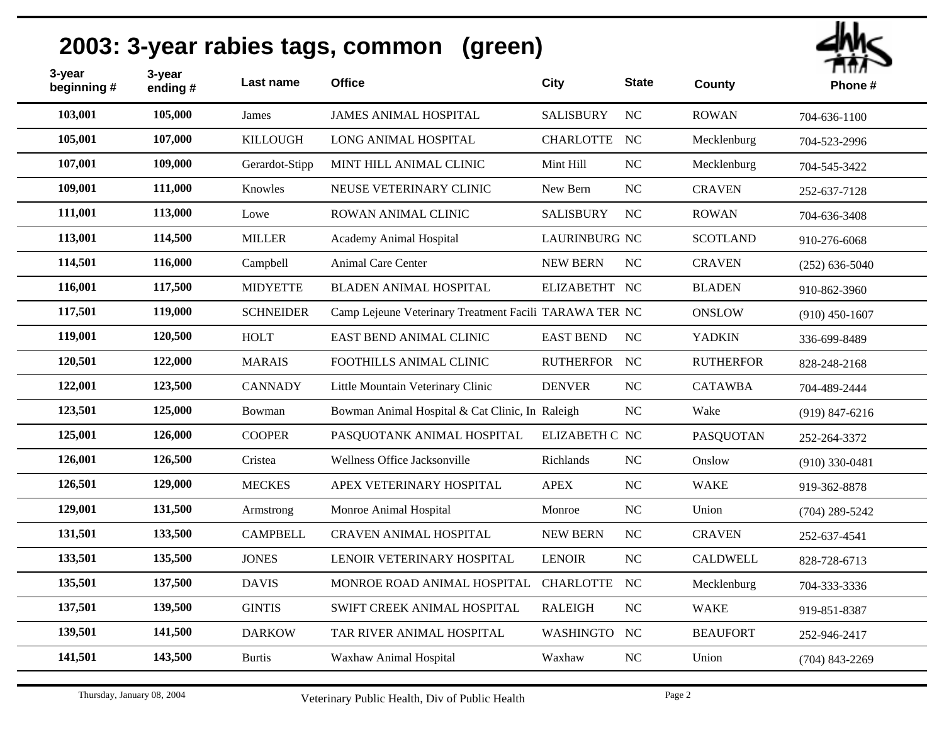| 3-year<br>beginning # | 3-year<br>ending# | Last name        | <b>Office</b>                                          | <b>City</b>          | <b>State</b> | County           | гшл<br>Phone#      |
|-----------------------|-------------------|------------------|--------------------------------------------------------|----------------------|--------------|------------------|--------------------|
| 103,001               | 105,000           | James            | <b>JAMES ANIMAL HOSPITAL</b>                           | <b>SALISBURY</b>     | NC           | <b>ROWAN</b>     | 704-636-1100       |
| 105,001               | 107,000           | <b>KILLOUGH</b>  | LONG ANIMAL HOSPITAL                                   | CHARLOTTE NC         |              | Mecklenburg      | 704-523-2996       |
| 107,001               | 109,000           | Gerardot-Stipp   | MINT HILL ANIMAL CLINIC                                | Mint Hill            | $_{\rm NC}$  | Mecklenburg      | 704-545-3422       |
| 109,001               | 111,000           | Knowles          | NEUSE VETERINARY CLINIC                                | New Bern             | NC           | <b>CRAVEN</b>    | 252-637-7128       |
| 111,001               | 113,000           | Lowe             | ROWAN ANIMAL CLINIC                                    | <b>SALISBURY</b>     | NC           | <b>ROWAN</b>     | 704-636-3408       |
| 113,001               | 114,500           | <b>MILLER</b>    | Academy Animal Hospital                                | <b>LAURINBURG NC</b> |              | <b>SCOTLAND</b>  | 910-276-6068       |
| 114,501               | 116,000           | Campbell         | Animal Care Center                                     | <b>NEW BERN</b>      | NC           | <b>CRAVEN</b>    | $(252)$ 636-5040   |
| 116,001               | 117,500           | <b>MIDYETTE</b>  | <b>BLADEN ANIMAL HOSPITAL</b>                          | ELIZABETHT NC        |              | <b>BLADEN</b>    | 910-862-3960       |
| 117,501               | 119,000           | <b>SCHNEIDER</b> | Camp Lejeune Veterinary Treatment Facili TARAWA TER NC |                      |              | <b>ONSLOW</b>    | $(910)$ 450-1607   |
| 119,001               | 120,500           | <b>HOLT</b>      | EAST BEND ANIMAL CLINIC                                | <b>EAST BEND</b>     | NC           | <b>YADKIN</b>    | 336-699-8489       |
| 120,501               | 122,000           | <b>MARAIS</b>    | FOOTHILLS ANIMAL CLINIC                                | RUTHERFOR NC         |              | <b>RUTHERFOR</b> | 828-248-2168       |
| 122,001               | 123,500           | <b>CANNADY</b>   | Little Mountain Veterinary Clinic                      | <b>DENVER</b>        | NC           | <b>CATAWBA</b>   | 704-489-2444       |
| 123,501               | 125,000           | Bowman           | Bowman Animal Hospital & Cat Clinic, In Raleigh        |                      | $_{\rm NC}$  | Wake             | $(919) 847 - 6216$ |
| 125,001               | 126,000           | <b>COOPER</b>    | PASQUOTANK ANIMAL HOSPITAL                             | ELIZABETH C NC       |              | <b>PASQUOTAN</b> | 252-264-3372       |
| 126,001               | 126,500           | Cristea          | Wellness Office Jacksonville                           | Richlands            | NC           | Onslow           | $(910)$ 330-0481   |
| 126,501               | 129,000           | <b>MECKES</b>    | APEX VETERINARY HOSPITAL                               | <b>APEX</b>          | NC           | <b>WAKE</b>      | 919-362-8878       |
| 129,001               | 131,500           | Armstrong        | Monroe Animal Hospital                                 | Monroe               | $\rm NC$     | Union            | $(704)$ 289-5242   |
| 131,501               | 133,500           | <b>CAMPBELL</b>  | <b>CRAVEN ANIMAL HOSPITAL</b>                          | <b>NEW BERN</b>      | NC           | <b>CRAVEN</b>    | 252-637-4541       |
| 133,501               | 135,500           | <b>JONES</b>     | LENOIR VETERINARY HOSPITAL                             | <b>LENOIR</b>        | NC           | <b>CALDWELL</b>  | 828-728-6713       |
| 135,501               | 137,500           | <b>DAVIS</b>     | MONROE ROAD ANIMAL HOSPITAL                            | <b>CHARLOTTE</b>     | NC           | Mecklenburg      | 704-333-3336       |
| 137,501               | 139,500           | <b>GINTIS</b>    | SWIFT CREEK ANIMAL HOSPITAL                            | <b>RALEIGH</b>       | $\rm NC$     | <b>WAKE</b>      | 919-851-8387       |
| 139,501               | 141,500           | <b>DARKOW</b>    | TAR RIVER ANIMAL HOSPITAL                              | <b>WASHINGTO</b>     | NC           | <b>BEAUFORT</b>  | 252-946-2417       |
| 141,501               | 143,500           | <b>Burtis</b>    | Waxhaw Animal Hospital                                 | Waxhaw               | $_{\rm NC}$  | Union            | $(704)$ 843-2269   |
|                       |                   |                  |                                                        |                      |              |                  |                    |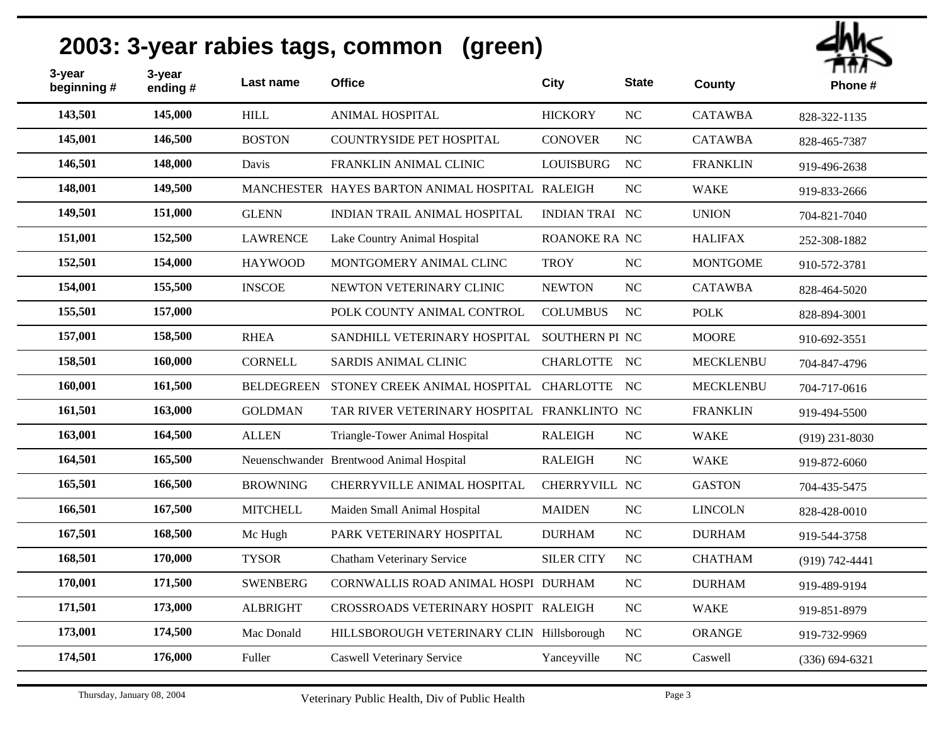| 3-year<br>beginning# | 3-year<br>ending# | Last name         | <b>Office</b>                                   | <b>City</b>           | <b>State</b>     | <b>County</b>    | ППЛ<br>Phone#      |
|----------------------|-------------------|-------------------|-------------------------------------------------|-----------------------|------------------|------------------|--------------------|
| 143,501              | 145,000           | <b>HILL</b>       | <b>ANIMAL HOSPITAL</b>                          | <b>HICKORY</b>        | NC               | <b>CATAWBA</b>   | 828-322-1135       |
| 145,001              | 146,500           | <b>BOSTON</b>     | <b>COUNTRYSIDE PET HOSPITAL</b>                 | <b>CONOVER</b>        | NC               | <b>CATAWBA</b>   | 828-465-7387       |
| 146,501              | 148,000           | Davis             | FRANKLIN ANIMAL CLINIC                          | <b>LOUISBURG</b>      | NC               | <b>FRANKLIN</b>  | 919-496-2638       |
| 148,001              | 149,500           |                   | MANCHESTER HAYES BARTON ANIMAL HOSPITAL RALEIGH |                       | NC               | <b>WAKE</b>      | 919-833-2666       |
| 149,501              | 151,000           | <b>GLENN</b>      | <b>INDIAN TRAIL ANIMAL HOSPITAL</b>             | <b>INDIAN TRAI NC</b> |                  | <b>UNION</b>     | 704-821-7040       |
| 151,001              | 152,500           | <b>LAWRENCE</b>   | Lake Country Animal Hospital                    | ROANOKE RA NC         |                  | <b>HALIFAX</b>   | 252-308-1882       |
| 152,501              | 154,000           | <b>HAYWOOD</b>    | MONTGOMERY ANIMAL CLINC                         | <b>TROY</b>           | NC               | <b>MONTGOME</b>  | 910-572-3781       |
| 154,001              | 155,500           | <b>INSCOE</b>     | NEWTON VETERINARY CLINIC                        | <b>NEWTON</b>         | NC               | <b>CATAWBA</b>   | 828-464-5020       |
| 155,501              | 157,000           |                   | POLK COUNTY ANIMAL CONTROL                      | <b>COLUMBUS</b>       | NC               | <b>POLK</b>      | 828-894-3001       |
| 157,001              | 158,500           | <b>RHEA</b>       | SANDHILL VETERINARY HOSPITAL                    | SOUTHERN PI NC        |                  | <b>MOORE</b>     | 910-692-3551       |
| 158,501              | 160,000           | CORNELL           | SARDIS ANIMAL CLINIC                            | CHARLOTTE NC          |                  | <b>MECKLENBU</b> | 704-847-4796       |
| 160,001              | 161,500           | <b>BELDEGREEN</b> | STONEY CREEK ANIMAL HOSPITAL CHARLOTTE NC       |                       |                  | <b>MECKLENBU</b> | 704-717-0616       |
| 161,501              | 163,000           | <b>GOLDMAN</b>    | TAR RIVER VETERINARY HOSPITAL FRANKLINTO NC     |                       |                  | <b>FRANKLIN</b>  | 919-494-5500       |
| 163,001              | 164,500           | <b>ALLEN</b>      | Triangle-Tower Animal Hospital                  | <b>RALEIGH</b>        | NC               | <b>WAKE</b>      | $(919)$ 231-8030   |
| 164,501              | 165,500           |                   | Neuenschwander Brentwood Animal Hospital        | <b>RALEIGH</b>        | NC               | <b>WAKE</b>      | 919-872-6060       |
| 165,501              | 166,500           | <b>BROWNING</b>   | CHERRYVILLE ANIMAL HOSPITAL                     | CHERRYVILL NC         |                  | <b>GASTON</b>    | 704-435-5475       |
| 166,501              | 167,500           | <b>MITCHELL</b>   | Maiden Small Animal Hospital                    | <b>MAIDEN</b>         | NC               | <b>LINCOLN</b>   | 828-428-0010       |
| 167,501              | 168,500           | Mc Hugh           | PARK VETERINARY HOSPITAL                        | <b>DURHAM</b>         | NC               | <b>DURHAM</b>    | 919-544-3758       |
| 168,501              | 170,000           | <b>TYSOR</b>      | Chatham Veterinary Service                      | <b>SILER CITY</b>     | <b>NC</b>        | <b>CHATHAM</b>   | $(919) 742 - 4441$ |
| 170,001              | 171,500           | <b>SWENBERG</b>   | CORNWALLIS ROAD ANIMAL HOSPI DURHAM             |                       | NC               | <b>DURHAM</b>    | 919-489-9194       |
| 171,501              | 173,000           | <b>ALBRIGHT</b>   | CROSSROADS VETERINARY HOSPIT RALEIGH            |                       | NC               | <b>WAKE</b>      | 919-851-8979       |
| 173,001              | 174,500           | Mac Donald        | HILLSBOROUGH VETERINARY CLIN Hillsborough       |                       | $_{\mathrm{NC}}$ | <b>ORANGE</b>    | 919-732-9969       |
| 174,501              | 176,000           | Fuller            | <b>Caswell Veterinary Service</b>               | Yanceyville           | $\rm NC$         | Caswell          | $(336) 694 - 6321$ |
|                      |                   |                   |                                                 |                       |                  |                  |                    |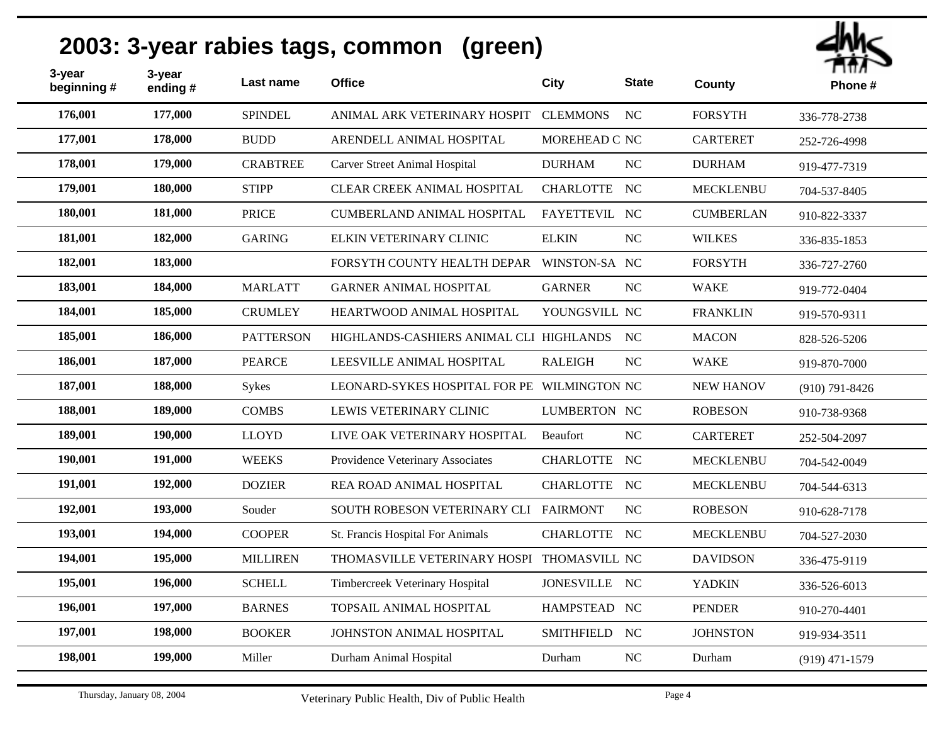| 3-year<br>beginning # | 3-year<br>ending# | Last name        | <b>Office</b>                               | City              | <b>State</b> | <b>County</b>    | ППЛ<br>Phone#      |
|-----------------------|-------------------|------------------|---------------------------------------------|-------------------|--------------|------------------|--------------------|
| 176,001               | 177,000           | <b>SPINDEL</b>   | ANIMAL ARK VETERINARY HOSPIT                | <b>CLEMMONS</b>   | <b>NC</b>    | <b>FORSYTH</b>   | 336-778-2738       |
| 177,001               | 178,000           | <b>BUDD</b>      | ARENDELL ANIMAL HOSPITAL                    | MOREHEAD C NC     |              | <b>CARTERET</b>  | 252-726-4998       |
| 178,001               | 179,000           | <b>CRABTREE</b>  | <b>Carver Street Animal Hospital</b>        | <b>DURHAM</b>     | NC           | <b>DURHAM</b>    | 919-477-7319       |
| 179,001               | 180,000           | <b>STIPP</b>     | CLEAR CREEK ANIMAL HOSPITAL                 | CHARLOTTE NC      |              | <b>MECKLENBU</b> | 704-537-8405       |
| 180,001               | 181,000           | <b>PRICE</b>     | <b>CUMBERLAND ANIMAL HOSPITAL</b>           | FAYETTEVIL NC     |              | <b>CUMBERLAN</b> | 910-822-3337       |
| 181,001               | 182,000           | <b>GARING</b>    | ELKIN VETERINARY CLINIC                     | <b>ELKIN</b>      | NC           | <b>WILKES</b>    | 336-835-1853       |
| 182,001               | 183,000           |                  | FORSYTH COUNTY HEALTH DEPAR                 | WINSTON-SA NC     |              | <b>FORSYTH</b>   | 336-727-2760       |
| 183,001               | 184,000           | <b>MARLATT</b>   | <b>GARNER ANIMAL HOSPITAL</b>               | <b>GARNER</b>     | NC           | <b>WAKE</b>      | 919-772-0404       |
| 184,001               | 185,000           | <b>CRUMLEY</b>   | HEARTWOOD ANIMAL HOSPITAL                   | YOUNGSVILL NC     |              | <b>FRANKLIN</b>  | 919-570-9311       |
| 185,001               | 186,000           | <b>PATTERSON</b> | HIGHLANDS-CASHIERS ANIMAL CLI HIGHLANDS     |                   | NC           | <b>MACON</b>     | 828-526-5206       |
| 186,001               | 187,000           | <b>PEARCE</b>    | LEESVILLE ANIMAL HOSPITAL                   | <b>RALEIGH</b>    | NC           | <b>WAKE</b>      | 919-870-7000       |
| 187,001               | 188,000           | Sykes            | LEONARD-SYKES HOSPITAL FOR PE WILMINGTON NC |                   |              | <b>NEW HANOV</b> | $(910) 791 - 8426$ |
| 188,001               | 189,000           | <b>COMBS</b>     | LEWIS VETERINARY CLINIC                     | LUMBERTON NC      |              | <b>ROBESON</b>   | 910-738-9368       |
| 189,001               | 190,000           | <b>LLOYD</b>     | LIVE OAK VETERINARY HOSPITAL                | Beaufort          | NC           | <b>CARTERET</b>  | 252-504-2097       |
| 190,001               | 191,000           | <b>WEEKS</b>     | Providence Veterinary Associates            | CHARLOTTE NC      |              | <b>MECKLENBU</b> | 704-542-0049       |
| 191,001               | 192,000           | <b>DOZIER</b>    | REA ROAD ANIMAL HOSPITAL                    | CHARLOTTE NC      |              | <b>MECKLENBU</b> | 704-544-6313       |
| 192,001               | 193,000           | Souder           | SOUTH ROBESON VETERINARY CLI FAIRMONT       |                   | NC           | <b>ROBESON</b>   | 910-628-7178       |
| 193,001               | 194,000           | <b>COOPER</b>    | St. Francis Hospital For Animals            | CHARLOTTE NC      |              | <b>MECKLENBU</b> | 704-527-2030       |
| 194,001               | 195,000           | <b>MILLIREN</b>  | THOMASVILLE VETERINARY HOSPI THOMASVILL NC  |                   |              | <b>DAVIDSON</b>  | 336-475-9119       |
| 195,001               | 196,000           | <b>SCHELL</b>    | Timbercreek Veterinary Hospital             | JONESVILLE NC     |              | <b>YADKIN</b>    | 336-526-6013       |
| 196,001               | 197,000           | <b>BARNES</b>    | TOPSAIL ANIMAL HOSPITAL                     | HAMPSTEAD NC      |              | <b>PENDER</b>    | 910-270-4401       |
| 197,001               | 198,000           | <b>BOOKER</b>    | JOHNSTON ANIMAL HOSPITAL                    | <b>SMITHFIELD</b> | NC           | <b>JOHNSTON</b>  | 919-934-3511       |
| 198,001               | 199,000           | Miller           | Durham Animal Hospital                      | Durham            | NC           | Durham           | $(919)$ 471-1579   |
|                       |                   |                  |                                             |                   |              |                  |                    |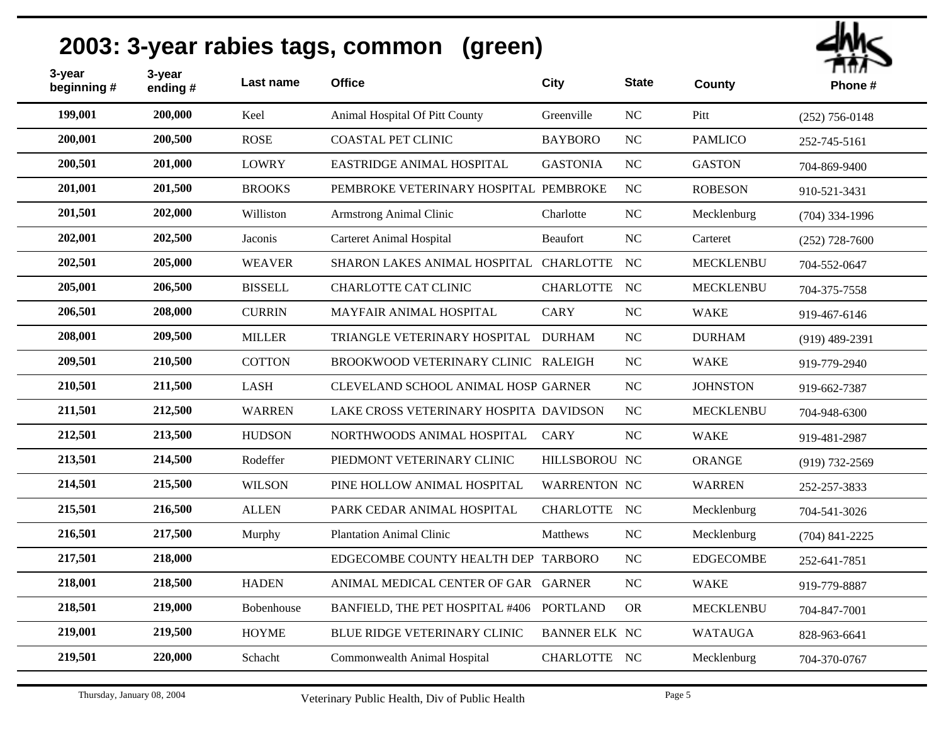| 3-year<br>beginning # | 3-year<br>ending# | Last name      | <b>Office</b>                             | City                 | <b>State</b>     | County           | гиил<br>Phone#     |
|-----------------------|-------------------|----------------|-------------------------------------------|----------------------|------------------|------------------|--------------------|
| 199,001               | 200,000           | Keel           | Animal Hospital Of Pitt County            | Greenville           | NC               | Pitt             | $(252)$ 756-0148   |
| 200,001               | 200,500           | <b>ROSE</b>    | <b>COASTAL PET CLINIC</b>                 | <b>BAYBORO</b>       | NC               | <b>PAMLICO</b>   | 252-745-5161       |
| 200,501               | 201,000           | <b>LOWRY</b>   | EASTRIDGE ANIMAL HOSPITAL                 | <b>GASTONIA</b>      | NC               | <b>GASTON</b>    | 704-869-9400       |
| 201,001               | 201,500           | <b>BROOKS</b>  | PEMBROKE VETERINARY HOSPITAL PEMBROKE     |                      | <b>NC</b>        | <b>ROBESON</b>   | 910-521-3431       |
| 201,501               | 202,000           | Williston      | <b>Armstrong Animal Clinic</b>            | Charlotte            | $_{\mathrm{NC}}$ | Mecklenburg      | $(704)$ 334-1996   |
| 202,001               | 202,500           | Jaconis        | <b>Carteret Animal Hospital</b>           | Beaufort             | $\rm NC$         | Carteret         | $(252)$ 728-7600   |
| 202,501               | 205,000           | <b>WEAVER</b>  | SHARON LAKES ANIMAL HOSPITAL CHARLOTTE NC |                      |                  | <b>MECKLENBU</b> | 704-552-0647       |
| 205,001               | 206,500           | <b>BISSELL</b> | <b>CHARLOTTE CAT CLINIC</b>               | CHARLOTTE NC         |                  | <b>MECKLENBU</b> | 704-375-7558       |
| 206,501               | 208,000           | <b>CURRIN</b>  | MAYFAIR ANIMAL HOSPITAL                   | <b>CARY</b>          | NC               | <b>WAKE</b>      | 919-467-6146       |
| 208,001               | 209,500           | <b>MILLER</b>  | TRIANGLE VETERINARY HOSPITAL DURHAM       |                      | NC               | <b>DURHAM</b>    | $(919)$ 489-2391   |
| 209,501               | 210,500           | <b>COTTON</b>  | BROOKWOOD VETERINARY CLINIC RALEIGH       |                      | NC               | <b>WAKE</b>      | 919-779-2940       |
| 210,501               | 211,500           | <b>LASH</b>    | CLEVELAND SCHOOL ANIMAL HOSP GARNER       |                      | NC               | <b>JOHNSTON</b>  | 919-662-7387       |
| 211,501               | 212,500           | <b>WARREN</b>  | LAKE CROSS VETERINARY HOSPITA DAVIDSON    |                      | NC               | <b>MECKLENBU</b> | 704-948-6300       |
| 212,501               | 213,500           | <b>HUDSON</b>  | NORTHWOODS ANIMAL HOSPITAL                | <b>CARY</b>          | $\rm NC$         | <b>WAKE</b>      | 919-481-2987       |
| 213,501               | 214,500           | Rodeffer       | PIEDMONT VETERINARY CLINIC                | HILLSBOROU NC        |                  | <b>ORANGE</b>    | $(919) 732 - 2569$ |
| 214,501               | 215,500           | <b>WILSON</b>  | PINE HOLLOW ANIMAL HOSPITAL               | <b>WARRENTON NC</b>  |                  | <b>WARREN</b>    | 252-257-3833       |
| 215,501               | 216,500           | <b>ALLEN</b>   | PARK CEDAR ANIMAL HOSPITAL                | CHARLOTTE NC         |                  | Mecklenburg      | 704-541-3026       |
| 216,501               | 217,500           | Murphy         | <b>Plantation Animal Clinic</b>           | Matthews             | <b>NC</b>        | Mecklenburg      | $(704)$ 841-2225   |
| 217,501               | 218,000           |                | EDGECOMBE COUNTY HEALTH DEP TARBORO       |                      | NC               | <b>EDGECOMBE</b> | 252-641-7851       |
| 218,001               | 218,500           | <b>HADEN</b>   | ANIMAL MEDICAL CENTER OF GAR GARNER       |                      | $\rm NC$         | <b>WAKE</b>      | 919-779-8887       |
| 218,501               | 219,000           | Bobenhouse     | <b>BANFIELD, THE PET HOSPITAL #406</b>    | <b>PORTLAND</b>      | <b>OR</b>        | <b>MECKLENBU</b> | 704-847-7001       |
| 219,001               | 219,500           | <b>HOYME</b>   | BLUE RIDGE VETERINARY CLINIC              | <b>BANNER ELK NC</b> |                  | <b>WATAUGA</b>   | 828-963-6641       |
| 219,501               | 220,000           | Schacht        | Commonwealth Animal Hospital              | CHARLOTTE NC         |                  | Mecklenburg      | 704-370-0767       |
|                       |                   |                |                                           |                      |                  |                  |                    |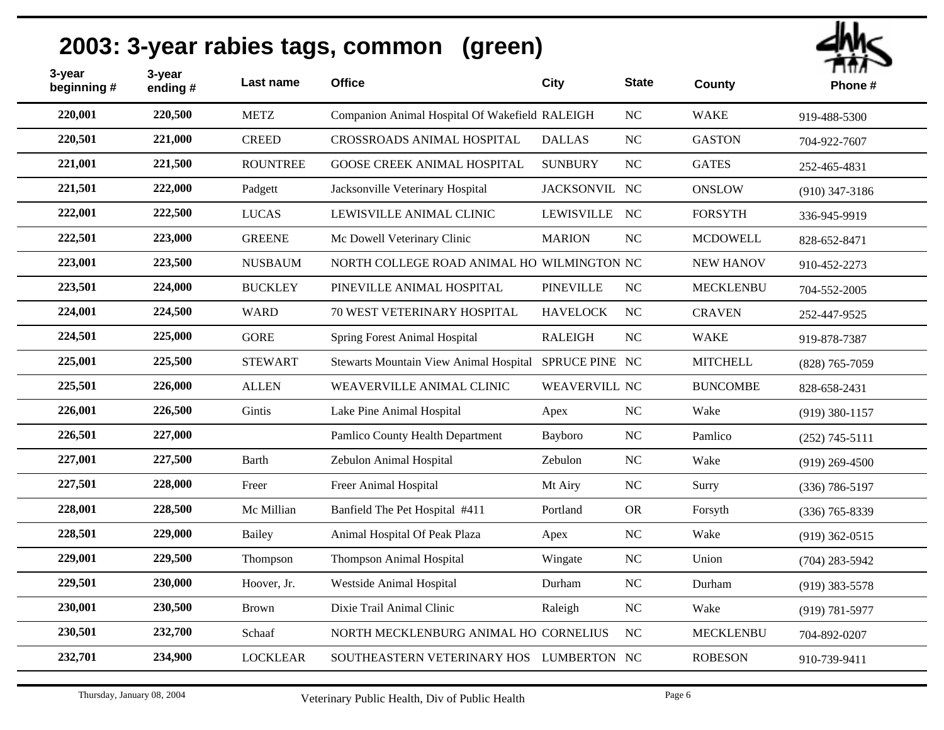| 3-year<br>beginning # | 3-year<br>ending# | Last name       | <b>Office</b>                                         | City                 | <b>State</b> | County           | Пπл<br>Phone#      |
|-----------------------|-------------------|-----------------|-------------------------------------------------------|----------------------|--------------|------------------|--------------------|
| 220,001               | 220,500           | <b>METZ</b>     | Companion Animal Hospital Of Wakefield RALEIGH        |                      | NC           | <b>WAKE</b>      | 919-488-5300       |
| 220,501               | 221,000           | <b>CREED</b>    | <b>CROSSROADS ANIMAL HOSPITAL</b>                     | <b>DALLAS</b>        | NC           | <b>GASTON</b>    | 704-922-7607       |
| 221,001               | 221,500           | <b>ROUNTREE</b> | <b>GOOSE CREEK ANIMAL HOSPITAL</b>                    | <b>SUNBURY</b>       | NC           | <b>GATES</b>     | 252-465-4831       |
| 221,501               | 222,000           | Padgett         | Jacksonville Veterinary Hospital                      | JACKSONVIL NC        |              | <b>ONSLOW</b>    | $(910)$ 347-3186   |
| 222,001               | 222,500           | <b>LUCAS</b>    | LEWISVILLE ANIMAL CLINIC                              | LEWISVILLE NC        |              | <b>FORSYTH</b>   | 336-945-9919       |
| 222,501               | 223,000           | <b>GREENE</b>   | Mc Dowell Veterinary Clinic                           | <b>MARION</b>        | NC           | <b>MCDOWELL</b>  | 828-652-8471       |
| 223,001               | 223,500           | <b>NUSBAUM</b>  | NORTH COLLEGE ROAD ANIMAL HO WILMINGTON NC            |                      |              | <b>NEW HANOV</b> | 910-452-2273       |
| 223,501               | 224,000           | <b>BUCKLEY</b>  | PINEVILLE ANIMAL HOSPITAL                             | <b>PINEVILLE</b>     | NC           | <b>MECKLENBU</b> | 704-552-2005       |
| 224,001               | 224,500           | <b>WARD</b>     | 70 WEST VETERINARY HOSPITAL                           | <b>HAVELOCK</b>      | <b>NC</b>    | <b>CRAVEN</b>    | 252-447-9525       |
| 224,501               | 225,000           | <b>GORE</b>     | <b>Spring Forest Animal Hospital</b>                  | <b>RALEIGH</b>       | NC           | <b>WAKE</b>      | 919-878-7387       |
| 225,001               | 225,500           | <b>STEWART</b>  | Stewarts Mountain View Animal Hospital SPRUCE PINE NC |                      |              | <b>MITCHELL</b>  | $(828)$ 765-7059   |
| 225,501               | 226,000           | <b>ALLEN</b>    | WEAVERVILLE ANIMAL CLINIC                             | <b>WEAVERVILL NC</b> |              | <b>BUNCOMBE</b>  | 828-658-2431       |
| 226,001               | 226,500           | Gintis          | Lake Pine Animal Hospital                             | Apex                 | NC           | Wake             | $(919)$ 380-1157   |
| 226,501               | 227,000           |                 | Pamlico County Health Department                      | Bayboro              | $\rm NC$     | Pamlico          | $(252)$ 745-5111   |
| 227,001               | 227,500           | <b>Barth</b>    | Zebulon Animal Hospital                               | Zebulon              | NC           | Wake             | $(919)$ 269-4500   |
| 227,501               | 228,000           | Freer           | Freer Animal Hospital                                 | Mt Airy              | NC           | Surry            | $(336) 786 - 5197$ |
| 228,001               | 228,500           | Mc Millian      | Banfield The Pet Hospital #411                        | Portland             | <b>OR</b>    | Forsyth          | $(336)$ 765-8339   |
| 228,501               | 229,000           | Bailey          | Animal Hospital Of Peak Plaza                         | Apex                 | NC           | Wake             | $(919)$ 362-0515   |
| 229,001               | 229,500           | Thompson        | <b>Thompson Animal Hospital</b>                       | Wingate              | NC           | Union            | $(704)$ 283-5942   |
| 229,501               | 230,000           | Hoover, Jr.     | Westside Animal Hospital                              | Durham               | $\rm NC$     | Durham           | $(919)$ 383-5578   |
| 230,001               | 230,500           | <b>Brown</b>    | Dixie Trail Animal Clinic                             | Raleigh              | NC           | Wake             | $(919) 781 - 5977$ |
| 230,501               | 232,700           | Schaaf          | NORTH MECKLENBURG ANIMAL HO CORNELIUS                 |                      | <b>NC</b>    | <b>MECKLENBU</b> | 704-892-0207       |
| 232,701               | 234,900           | <b>LOCKLEAR</b> | SOUTHEASTERN VETERINARY HOS LUMBERTON NC              |                      |              | <b>ROBESON</b>   | 910-739-9411       |
|                       |                   |                 |                                                       |                      |              |                  |                    |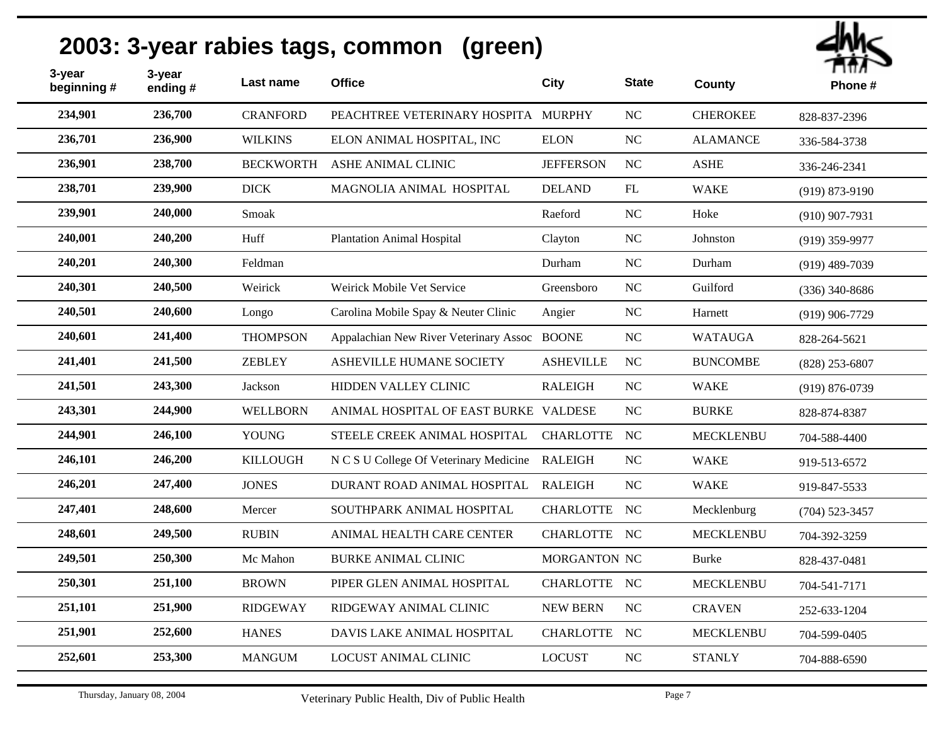| 3-year<br>beginning# | 3-year<br>ending# | Last name        | <b>Office</b>                                | <b>City</b>      | <b>State</b> | <b>County</b>    | ппл ~<br>Phone#    |
|----------------------|-------------------|------------------|----------------------------------------------|------------------|--------------|------------------|--------------------|
| 234,901              | 236,700           | <b>CRANFORD</b>  | PEACHTREE VETERINARY HOSPITA MURPHY          |                  | NC           | <b>CHEROKEE</b>  | 828-837-2396       |
| 236,701              | 236,900           | <b>WILKINS</b>   | ELON ANIMAL HOSPITAL, INC                    | <b>ELON</b>      | NC           | <b>ALAMANCE</b>  | 336-584-3738       |
| 236,901              | 238,700           | <b>BECKWORTH</b> | ASHE ANIMAL CLINIC                           | <b>JEFFERSON</b> | NC           | <b>ASHE</b>      | 336-246-2341       |
| 238,701              | 239,900           | <b>DICK</b>      | MAGNOLIA ANIMAL HOSPITAL                     | <b>DELAND</b>    | FL           | <b>WAKE</b>      | $(919) 873 - 9190$ |
| 239,901              | 240,000           | Smoak            |                                              | Raeford          | NC           | Hoke             | $(910)$ 907-7931   |
| 240,001              | 240,200           | Huff             | <b>Plantation Animal Hospital</b>            | Clayton          | NC           | Johnston         | $(919)$ 359-9977   |
| 240,201              | 240,300           | Feldman          |                                              | Durham           | NC           | Durham           | $(919)$ 489-7039   |
| 240,301              | 240,500           | Weirick          | Weirick Mobile Vet Service                   | Greensboro       | NC           | Guilford         | $(336)$ 340-8686   |
| 240,501              | 240,600           | Longo            | Carolina Mobile Spay & Neuter Clinic         | Angier           | NC           | Harnett          | $(919)$ 906-7729   |
| 240,601              | 241,400           | <b>THOMPSON</b>  | Appalachian New River Veterinary Assoc BOONE |                  | $NC$         | <b>WATAUGA</b>   | 828-264-5621       |
| 241,401              | 241,500           | <b>ZEBLEY</b>    | ASHEVILLE HUMANE SOCIETY                     | <b>ASHEVILLE</b> | NC           | <b>BUNCOMBE</b>  | $(828)$ 253-6807   |
| 241,501              | 243,300           | Jackson          | HIDDEN VALLEY CLINIC                         | <b>RALEIGH</b>   | NC           | <b>WAKE</b>      | $(919) 876 - 0739$ |
| 243,301              | 244,900           | <b>WELLBORN</b>  | ANIMAL HOSPITAL OF EAST BURKE VALDESE        |                  | $NC$         | <b>BURKE</b>     | 828-874-8387       |
| 244,901              | 246,100           | <b>YOUNG</b>     | STEELE CREEK ANIMAL HOSPITAL                 | <b>CHARLOTTE</b> | NC           | <b>MECKLENBU</b> | 704-588-4400       |
| 246,101              | 246,200           | <b>KILLOUGH</b>  | N C S U College Of Veterinary Medicine       | <b>RALEIGH</b>   | $NC$         | <b>WAKE</b>      | 919-513-6572       |
| 246,201              | 247,400           | <b>JONES</b>     | DURANT ROAD ANIMAL HOSPITAL                  | <b>RALEIGH</b>   | NC           | <b>WAKE</b>      | 919-847-5533       |
| 247,401              | 248,600           | Mercer           | SOUTHPARK ANIMAL HOSPITAL                    | CHARLOTTE NC     |              | Mecklenburg      | $(704)$ 523-3457   |
| 248,601              | 249,500           | <b>RUBIN</b>     | ANIMAL HEALTH CARE CENTER                    | CHARLOTTE NC     |              | <b>MECKLENBU</b> | 704-392-3259       |
| 249,501              | 250,300           | Mc Mahon         | <b>BURKE ANIMAL CLINIC</b>                   | MORGANTON NC     |              | <b>Burke</b>     | 828-437-0481       |
| 250,301              | 251,100           | <b>BROWN</b>     | PIPER GLEN ANIMAL HOSPITAL                   | CHARLOTTE NC     |              | <b>MECKLENBU</b> | 704-541-7171       |
| 251,101              | 251,900           | <b>RIDGEWAY</b>  | RIDGEWAY ANIMAL CLINIC                       | <b>NEW BERN</b>  | $_{\rm NC}$  | <b>CRAVEN</b>    | 252-633-1204       |
| 251,901              | 252,600           | <b>HANES</b>     | DAVIS LAKE ANIMAL HOSPITAL                   | <b>CHARLOTTE</b> | NC           | <b>MECKLENBU</b> | 704-599-0405       |
| 252,601              | 253,300           | <b>MANGUM</b>    | <b>LOCUST ANIMAL CLINIC</b>                  | <b>LOCUST</b>    | NC           | <b>STANLY</b>    | 704-888-6590       |
|                      |                   |                  |                                              |                  |              |                  |                    |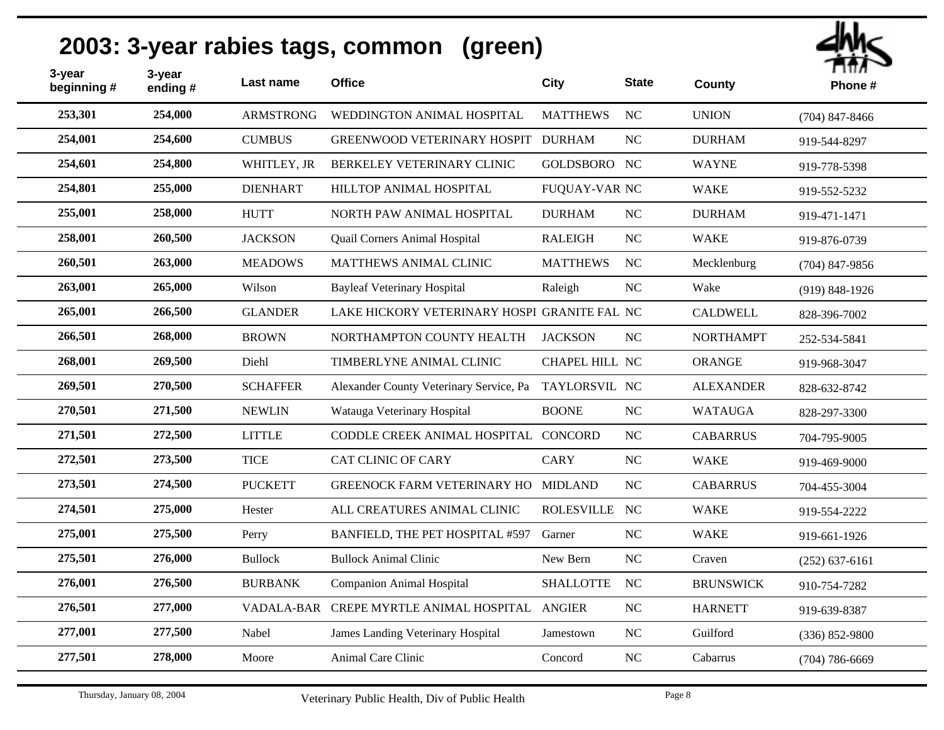| 3-year<br>beginning # | 3-year<br>ending# | Last name        | <b>Office</b>                                         | <b>City</b>          | <b>State</b> | County           | ППЛ<br>Phone#      |
|-----------------------|-------------------|------------------|-------------------------------------------------------|----------------------|--------------|------------------|--------------------|
| 253,301               | 254,000           | <b>ARMSTRONG</b> | WEDDINGTON ANIMAL HOSPITAL                            | <b>MATTHEWS</b>      | NC           | <b>UNION</b>     | $(704)$ 847-8466   |
| 254,001               | 254,600           | <b>CUMBUS</b>    | GREENWOOD VETERINARY HOSPIT DURHAM                    |                      | NC           | <b>DURHAM</b>    | 919-544-8297       |
| 254,601               | 254,800           | WHITLEY, JR      | BERKELEY VETERINARY CLINIC                            | GOLDSBORO NC         |              | <b>WAYNE</b>     | 919-778-5398       |
| 254,801               | 255,000           | <b>DIENHART</b>  | HILLTOP ANIMAL HOSPITAL                               | <b>FUQUAY-VAR NC</b> |              | <b>WAKE</b>      | 919-552-5232       |
| 255,001               | 258,000           | <b>HUTT</b>      | NORTH PAW ANIMAL HOSPITAL                             | <b>DURHAM</b>        | NC           | <b>DURHAM</b>    | 919-471-1471       |
| 258,001               | 260,500           | <b>JACKSON</b>   | Quail Corners Animal Hospital                         | RALEIGH              | NC           | <b>WAKE</b>      | 919-876-0739       |
| 260,501               | 263,000           | <b>MEADOWS</b>   | MATTHEWS ANIMAL CLINIC                                | <b>MATTHEWS</b>      | <b>NC</b>    | Mecklenburg      | $(704)$ 847-9856   |
| 263,001               | 265,000           | Wilson           | <b>Bayleaf Veterinary Hospital</b>                    | Raleigh              | NC           | Wake             | $(919) 848 - 1926$ |
| 265,001               | 266,500           | <b>GLANDER</b>   | LAKE HICKORY VETERINARY HOSPI GRANITE FAL NC          |                      |              | <b>CALDWELL</b>  | 828-396-7002       |
| 266,501               | 268,000           | <b>BROWN</b>     | NORTHAMPTON COUNTY HEALTH                             | <b>JACKSON</b>       | <b>NC</b>    | <b>NORTHAMPT</b> | 252-534-5841       |
| 268,001               | 269,500           | Diehl            | <b>TIMBERLYNE ANIMAL CLINIC</b>                       | CHAPEL HILL NC       |              | <b>ORANGE</b>    | 919-968-3047       |
| 269,501               | 270,500           | <b>SCHAFFER</b>  | Alexander County Veterinary Service, Pa TAYLORSVIL NC |                      |              | <b>ALEXANDER</b> | 828-632-8742       |
| 270,501               | 271,500           | <b>NEWLIN</b>    | Watauga Veterinary Hospital                           | <b>BOONE</b>         | NC           | <b>WATAUGA</b>   | 828-297-3300       |
| 271,501               | 272,500           | <b>LITTLE</b>    | CODDLE CREEK ANIMAL HOSPITAL CONCORD                  |                      | <b>NC</b>    | <b>CABARRUS</b>  | 704-795-9005       |
| 272,501               | 273,500           | <b>TICE</b>      | <b>CAT CLINIC OF CARY</b>                             | <b>CARY</b>          | NC           | <b>WAKE</b>      | 919-469-9000       |
| 273,501               | 274,500           | <b>PUCKETT</b>   | GREENOCK FARM VETERINARY HO MIDLAND                   |                      | NC           | <b>CABARRUS</b>  | 704-455-3004       |
| 274,501               | 275,000           | Hester           | ALL CREATURES ANIMAL CLINIC                           | ROLESVILLE NC        |              | <b>WAKE</b>      | 919-554-2222       |
| 275,001               | 275,500           | Perry            | BANFIELD, THE PET HOSPITAL #597                       | Garner               | $\rm NC$     | <b>WAKE</b>      | 919-661-1926       |
| 275,501               | 276,000           | <b>Bullock</b>   | <b>Bullock Animal Clinic</b>                          | New Bern             | NC           | Craven           | $(252) 637 - 6161$ |
| 276,001               | 276,500           | <b>BURBANK</b>   | <b>Companion Animal Hospital</b>                      | <b>SHALLOTTE</b>     | <b>NC</b>    | <b>BRUNSWICK</b> | 910-754-7282       |
| 276,501               | 277,000           |                  | VADALA-BAR CREPE MYRTLE ANIMAL HOSPITAL ANGIER        |                      | NC           | <b>HARNETT</b>   | 919-639-8387       |
| 277,001               | 277,500           | Nabel            | James Landing Veterinary Hospital                     | Jamestown            | NC           | Guilford         | $(336) 852 - 9800$ |
| 277,501               | 278,000           | Moore            | Animal Care Clinic                                    | Concord              | NC           | Cabarrus         | $(704) 786 - 6669$ |
|                       |                   |                  |                                                       |                      |              |                  |                    |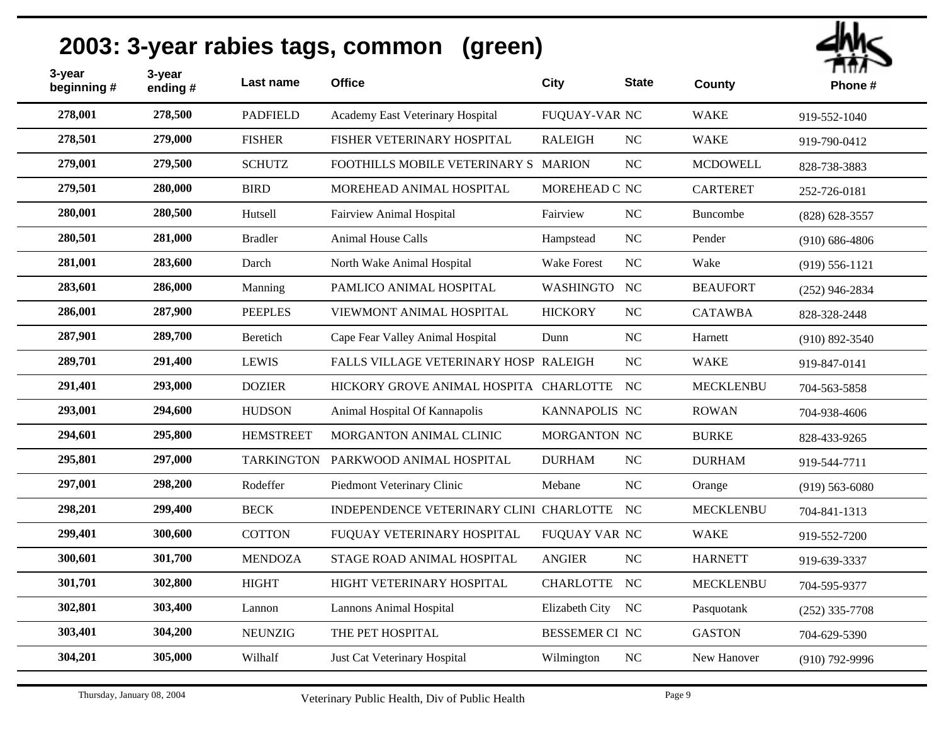| 3-year<br>beginning# | 3-year<br>ending# | Last name         | <b>Office</b>                             | <b>City</b>           | <b>State</b> | County           | ППЛ<br>Phone#      |
|----------------------|-------------------|-------------------|-------------------------------------------|-----------------------|--------------|------------------|--------------------|
| 278,001              | 278,500           | <b>PADFIELD</b>   | Academy East Veterinary Hospital          | FUQUAY-VAR NC         |              | <b>WAKE</b>      | 919-552-1040       |
| 278,501              | 279,000           | <b>FISHER</b>     | FISHER VETERINARY HOSPITAL                | <b>RALEIGH</b>        | NC           | <b>WAKE</b>      | 919-790-0412       |
| 279,001              | 279,500           | <b>SCHUTZ</b>     | FOOTHILLS MOBILE VETERINARY S MARION      |                       | NC           | <b>MCDOWELL</b>  | 828-738-3883       |
| 279,501              | 280,000           | <b>BIRD</b>       | MOREHEAD ANIMAL HOSPITAL                  | MOREHEAD C NC         |              | <b>CARTERET</b>  | 252-726-0181       |
| 280,001              | 280,500           | Hutsell           | <b>Fairview Animal Hospital</b>           | Fairview              | NC           | Buncombe         | $(828) 628 - 3557$ |
| 280,501              | 281,000           | <b>Bradler</b>    | <b>Animal House Calls</b>                 | Hampstead             | NC           | Pender           | $(910) 686 - 4806$ |
| 281,001              | 283,600           | Darch             | North Wake Animal Hospital                | <b>Wake Forest</b>    | NC           | Wake             | $(919) 556 - 1121$ |
| 283,601              | 286,000           | Manning           | PAMLICO ANIMAL HOSPITAL                   | WASHINGTO NC          |              | <b>BEAUFORT</b>  | $(252)$ 946-2834   |
| 286,001              | 287,900           | <b>PEEPLES</b>    | VIEWMONT ANIMAL HOSPITAL                  | <b>HICKORY</b>        | NC           | <b>CATAWBA</b>   | 828-328-2448       |
| 287,901              | 289,700           | Beretich          | Cape Fear Valley Animal Hospital          | Dunn                  | NC           | Harnett          | $(910) 892 - 3540$ |
| 289,701              | 291,400           | <b>LEWIS</b>      | FALLS VILLAGE VETERINARY HOSP RALEIGH     |                       | NC           | <b>WAKE</b>      | 919-847-0141       |
| 291,401              | 293,000           | <b>DOZIER</b>     | HICKORY GROVE ANIMAL HOSPITA CHARLOTTE NC |                       |              | <b>MECKLENBU</b> | 704-563-5858       |
| 293,001              | 294,600           | <b>HUDSON</b>     | Animal Hospital Of Kannapolis             | KANNAPOLIS NC         |              | <b>ROWAN</b>     | 704-938-4606       |
| 294,601              | 295,800           | <b>HEMSTREET</b>  | MORGANTON ANIMAL CLINIC                   | MORGANTON NC          |              | <b>BURKE</b>     | 828-433-9265       |
| 295,801              | 297,000           | <b>TARKINGTON</b> | PARKWOOD ANIMAL HOSPITAL                  | <b>DURHAM</b>         | NC           | <b>DURHAM</b>    | 919-544-7711       |
| 297,001              | 298,200           | Rodeffer          | Piedmont Veterinary Clinic                | Mebane                | NC           | Orange           | $(919) 563 - 6080$ |
| 298,201              | 299,400           | <b>BECK</b>       | INDEPENDENCE VETERINARY CLINI CHARLOTTE   |                       | NC           | <b>MECKLENBU</b> | 704-841-1313       |
| 299,401              | 300,600           | <b>COTTON</b>     | FUQUAY VETERINARY HOSPITAL                | FUQUAY VAR NC         |              | <b>WAKE</b>      | 919-552-7200       |
| 300,601              | 301,700           | <b>MENDOZA</b>    | STAGE ROAD ANIMAL HOSPITAL                | <b>ANGIER</b>         | NC           | <b>HARNETT</b>   | 919-639-3337       |
| 301,701              | 302,800           | <b>HIGHT</b>      | HIGHT VETERINARY HOSPITAL                 | CHARLOTTE NC          |              | <b>MECKLENBU</b> | 704-595-9377       |
| 302,801              | 303,400           | Lannon            | <b>Lannons Animal Hospital</b>            | Elizabeth City NC     |              | Pasquotank       | $(252)$ 335-7708   |
| 303,401              | 304,200           | <b>NEUNZIG</b>    | THE PET HOSPITAL                          | <b>BESSEMER CI NC</b> |              | <b>GASTON</b>    | 704-629-5390       |
| 304,201              | 305,000           | Wilhalf           | Just Cat Veterinary Hospital              | Wilmington            | NC           | New Hanover      | $(910)$ 792-9996   |
|                      |                   |                   |                                           |                       |              |                  |                    |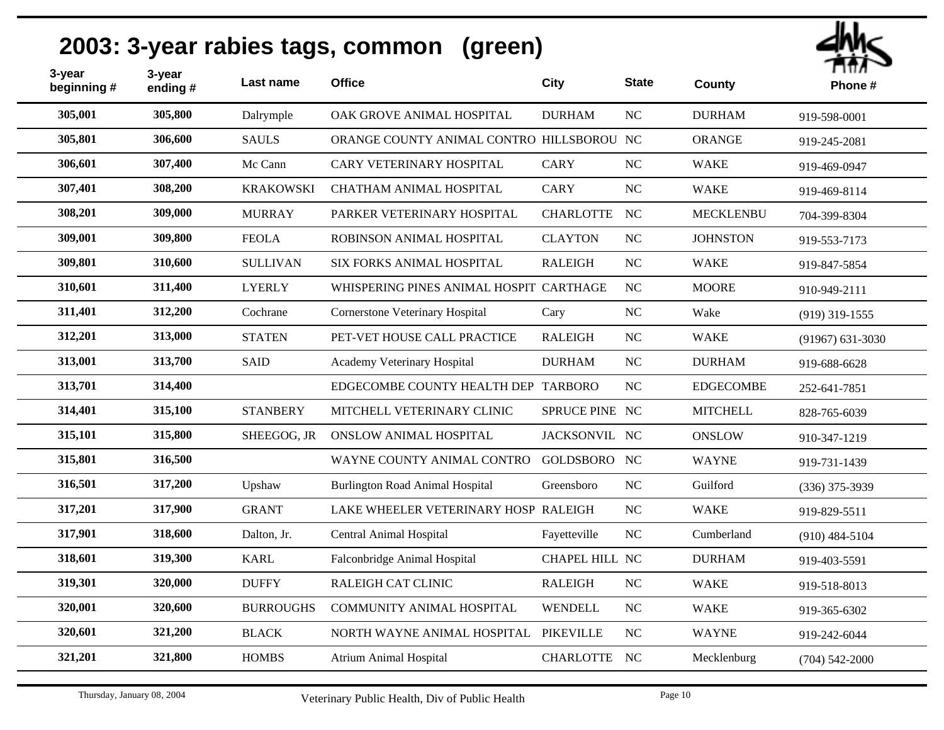| 3-year<br>beginning# | 3-year<br>ending# | Last name        | <b>Office</b>                             | City             | <b>State</b>     | County           | Ήπ<br>Phone#         |
|----------------------|-------------------|------------------|-------------------------------------------|------------------|------------------|------------------|----------------------|
| 305,001              | 305,800           | Dalrymple        | OAK GROVE ANIMAL HOSPITAL                 | <b>DURHAM</b>    | NC               | <b>DURHAM</b>    | 919-598-0001         |
| 305,801              | 306,600           | <b>SAULS</b>     | ORANGE COUNTY ANIMAL CONTRO HILLSBOROU NC |                  |                  | <b>ORANGE</b>    | 919-245-2081         |
| 306,601              | 307,400           | Mc Cann          | <b>CARY VETERINARY HOSPITAL</b>           | <b>CARY</b>      | NC               | <b>WAKE</b>      | 919-469-0947         |
| 307,401              | 308,200           | <b>KRAKOWSKI</b> | CHATHAM ANIMAL HOSPITAL                   | <b>CARY</b>      | NC               | <b>WAKE</b>      | 919-469-8114         |
| 308,201              | 309,000           | <b>MURRAY</b>    | PARKER VETERINARY HOSPITAL                | <b>CHARLOTTE</b> | NC               | <b>MECKLENBU</b> | 704-399-8304         |
| 309,001              | 309,800           | <b>FEOLA</b>     | ROBINSON ANIMAL HOSPITAL                  | <b>CLAYTON</b>   | NC               | <b>JOHNSTON</b>  | 919-553-7173         |
| 309,801              | 310,600           | <b>SULLIVAN</b>  | SIX FORKS ANIMAL HOSPITAL                 | <b>RALEIGH</b>   | NC               | <b>WAKE</b>      | 919-847-5854         |
| 310,601              | 311,400           | <b>LYERLY</b>    | WHISPERING PINES ANIMAL HOSPIT CARTHAGE   |                  | NC               | <b>MOORE</b>     | 910-949-2111         |
| 311,401              | 312,200           | Cochrane         | Cornerstone Veterinary Hospital           | Cary             | NC               | Wake             | $(919)$ 319-1555     |
| 312,201              | 313,000           | <b>STATEN</b>    | PET-VET HOUSE CALL PRACTICE               | <b>RALEIGH</b>   | NC               | <b>WAKE</b>      | $(91967) 631 - 3030$ |
| 313,001              | 313,700           | <b>SAID</b>      | Academy Veterinary Hospital               | <b>DURHAM</b>    | NC               | <b>DURHAM</b>    | 919-688-6628         |
| 313,701              | 314,400           |                  | EDGECOMBE COUNTY HEALTH DEP TARBORO       |                  | NC               | <b>EDGECOMBE</b> | 252-641-7851         |
| 314,401              | 315,100           | <b>STANBERY</b>  | MITCHELL VETERINARY CLINIC                | SPRUCE PINE NC   |                  | <b>MITCHELL</b>  | 828-765-6039         |
| 315,101              | 315,800           | SHEEGOG, JR      | <b>ONSLOW ANIMAL HOSPITAL</b>             | JACKSONVIL NC    |                  | <b>ONSLOW</b>    | 910-347-1219         |
| 315,801              | 316,500           |                  | WAYNE COUNTY ANIMAL CONTRO                | GOLDSBORO NC     |                  | <b>WAYNE</b>     | 919-731-1439         |
| 316,501              | 317,200           | Upshaw           | <b>Burlington Road Animal Hospital</b>    | Greensboro       | $_{\rm NC}$      | Guilford         | $(336)$ 375-3939     |
| 317,201              | 317,900           | <b>GRANT</b>     | LAKE WHEELER VETERINARY HOSP RALEIGH      |                  | $_{\rm NC}$      | <b>WAKE</b>      | 919-829-5511         |
| 317,901              | 318,600           | Dalton, Jr.      | <b>Central Animal Hospital</b>            | Fayetteville     | $_{\mathrm{NC}}$ | Cumberland       | $(910)$ 484-5104     |
| 318,601              | 319,300           | <b>KARL</b>      | Falconbridge Animal Hospital              | CHAPEL HILL NC   |                  | <b>DURHAM</b>    | 919-403-5591         |
| 319,301              | 320,000           | <b>DUFFY</b>     | RALEIGH CAT CLINIC                        | <b>RALEIGH</b>   | NC               | <b>WAKE</b>      | 919-518-8013         |
| 320,001              | 320,600           | <b>BURROUGHS</b> | COMMUNITY ANIMAL HOSPITAL                 | WENDELL          | NC               | <b>WAKE</b>      | 919-365-6302         |
| 320,601              | 321,200           | <b>BLACK</b>     | NORTH WAYNE ANIMAL HOSPITAL               | <b>PIKEVILLE</b> | NC               | <b>WAYNE</b>     | 919-242-6044         |
| 321,201              | 321,800           | <b>HOMBS</b>     | <b>Atrium Animal Hospital</b>             | CHARLOTTE NC     |                  | Mecklenburg      | $(704) 542 - 2000$   |
|                      |                   |                  |                                           |                  |                  |                  |                      |

thh $<$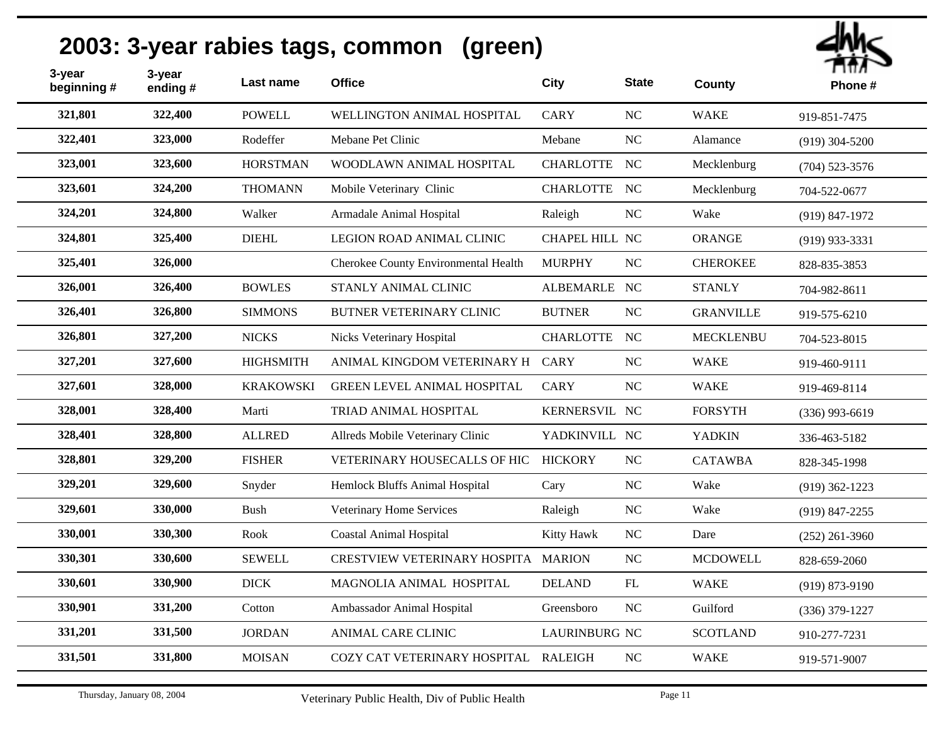| 3-year<br>beginning # | 3-year<br>ending# | Last name        | <b>Office</b>                        | <b>City</b>          | <b>State</b> | County           | Пπл<br>Phone#      |
|-----------------------|-------------------|------------------|--------------------------------------|----------------------|--------------|------------------|--------------------|
| 321,801               | 322,400           | <b>POWELL</b>    | WELLINGTON ANIMAL HOSPITAL           | <b>CARY</b>          | NC           | <b>WAKE</b>      | 919-851-7475       |
| 322,401               | 323,000           | Rodeffer         | Mebane Pet Clinic                    | Mebane               | NC           | Alamance         | $(919)$ 304-5200   |
| 323,001               | 323,600           | <b>HORSTMAN</b>  | WOODLAWN ANIMAL HOSPITAL             | CHARLOTTE NC         |              | Mecklenburg      | $(704)$ 523-3576   |
| 323,601               | 324,200           | <b>THOMANN</b>   | Mobile Veterinary Clinic             | CHARLOTTE NC         |              | Mecklenburg      | 704-522-0677       |
| 324,201               | 324,800           | Walker           | Armadale Animal Hospital             | Raleigh              | $\rm NC$     | Wake             | $(919) 847 - 1972$ |
| 324,801               | 325,400           | <b>DIEHL</b>     | LEGION ROAD ANIMAL CLINIC            | CHAPEL HILL NC       |              | <b>ORANGE</b>    | $(919)$ 933-3331   |
| 325,401               | 326,000           |                  | Cherokee County Environmental Health | <b>MURPHY</b>        | NC           | <b>CHEROKEE</b>  | 828-835-3853       |
| 326,001               | 326,400           | <b>BOWLES</b>    | STANLY ANIMAL CLINIC                 | ALBEMARLE NC         |              | <b>STANLY</b>    | 704-982-8611       |
| 326,401               | 326,800           | <b>SIMMONS</b>   | BUTNER VETERINARY CLINIC             | <b>BUTNER</b>        | $\rm NC$     | <b>GRANVILLE</b> | 919-575-6210       |
| 326,801               | 327,200           | <b>NICKS</b>     | Nicks Veterinary Hospital            | CHARLOTTE NC         |              | <b>MECKLENBU</b> | 704-523-8015       |
| 327,201               | 327,600           | <b>HIGHSMITH</b> | ANIMAL KINGDOM VETERINARY H          | <b>CARY</b>          | NC           | <b>WAKE</b>      | 919-460-9111       |
| 327,601               | 328,000           | <b>KRAKOWSKI</b> | <b>GREEN LEVEL ANIMAL HOSPITAL</b>   | <b>CARY</b>          | NC           | <b>WAKE</b>      | 919-469-8114       |
| 328,001               | 328,400           | Marti            | TRIAD ANIMAL HOSPITAL                | KERNERSVIL NC        |              | <b>FORSYTH</b>   | $(336)$ 993-6619   |
| 328,401               | 328,800           | <b>ALLRED</b>    | Allreds Mobile Veterinary Clinic     | YADKINVILL NC        |              | <b>YADKIN</b>    | 336-463-5182       |
| 328,801               | 329,200           | <b>FISHER</b>    | VETERINARY HOUSECALLS OF HIC         | <b>HICKORY</b>       | NC           | <b>CATAWBA</b>   | 828-345-1998       |
| 329,201               | 329,600           | Snyder           | Hemlock Bluffs Animal Hospital       | Cary                 | $\rm NC$     | Wake             | $(919)$ 362-1223   |
| 329,601               | 330,000           | <b>Bush</b>      | Veterinary Home Services             | Raleigh              | $\rm NC$     | Wake             | $(919)$ 847-2255   |
| 330,001               | 330,300           | Rook             | <b>Coastal Animal Hospital</b>       | Kitty Hawk           | NC           | Dare             | $(252)$ 261-3960   |
| 330,301               | 330,600           | <b>SEWELL</b>    | CRESTVIEW VETERINARY HOSPITA MARION  |                      | NC           | <b>MCDOWELL</b>  | 828-659-2060       |
| 330,601               | 330,900           | <b>DICK</b>      | MAGNOLIA ANIMAL HOSPITAL             | <b>DELAND</b>        | ${\rm FL}$   | <b>WAKE</b>      | $(919) 873 - 9190$ |
| 330,901               | 331,200           | Cotton           | Ambassador Animal Hospital           | Greensboro           | NC           | Guilford         | $(336)$ 379-1227   |
| 331,201               | 331,500           | <b>JORDAN</b>    | <b>ANIMAL CARE CLINIC</b>            | <b>LAURINBURG NC</b> |              | <b>SCOTLAND</b>  | 910-277-7231       |
| 331,501               | 331,800           | <b>MOISAN</b>    | COZY CAT VETERINARY HOSPITAL RALEIGH |                      | NC           | <b>WAKE</b>      | 919-571-9007       |
|                       |                   |                  |                                      |                      |              |                  |                    |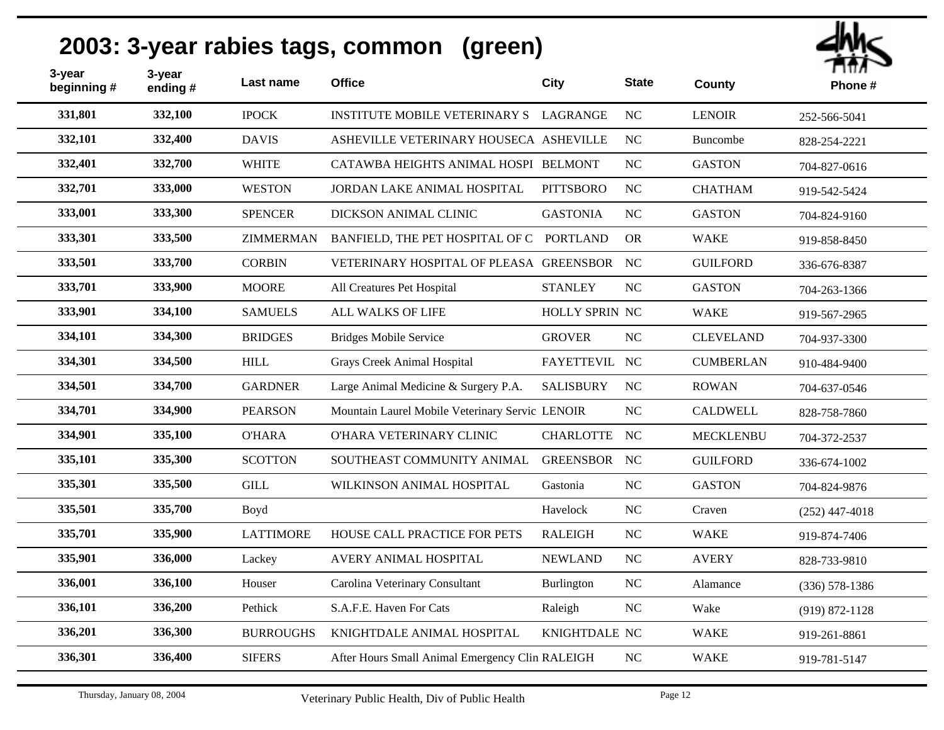

| 3-year<br>beginning# | 3-year<br>ending# | Last name        | <b>Office</b>                                   | <b>City</b>      | <b>State</b> | <b>County</b>    | .<br>Phone#        |
|----------------------|-------------------|------------------|-------------------------------------------------|------------------|--------------|------------------|--------------------|
| 331,801              | 332,100           | <b>IPOCK</b>     | <b>INSTITUTE MOBILE VETERINARY S</b>            | LAGRANGE         | <b>NC</b>    | <b>LENOIR</b>    | 252-566-5041       |
| 332,101              | 332,400           | <b>DAVIS</b>     | ASHEVILLE VETERINARY HOUSECA ASHEVILLE          |                  | NC           | Buncombe         | 828-254-2221       |
| 332,401              | 332,700           | <b>WHITE</b>     | CATAWBA HEIGHTS ANIMAL HOSPI BELMONT            |                  | <b>NC</b>    | <b>GASTON</b>    | 704-827-0616       |
| 332,701              | 333,000           | <b>WESTON</b>    | JORDAN LAKE ANIMAL HOSPITAL                     | <b>PITTSBORO</b> | <b>NC</b>    | <b>CHATHAM</b>   | 919-542-5424       |
| 333,001              | 333,300           | <b>SPENCER</b>   | DICKSON ANIMAL CLINIC                           | <b>GASTONIA</b>  | NC           | <b>GASTON</b>    | 704-824-9160       |
| 333,301              | 333,500           | <b>ZIMMERMAN</b> | BANFIELD, THE PET HOSPITAL OF C PORTLAND        |                  | <b>OR</b>    | <b>WAKE</b>      | 919-858-8450       |
| 333,501              | 333,700           | <b>CORBIN</b>    | VETERINARY HOSPITAL OF PLEASA GREENSBOR NC      |                  |              | <b>GUILFORD</b>  | 336-676-8387       |
| 333,701              | 333,900           | <b>MOORE</b>     | All Creatures Pet Hospital                      | <b>STANLEY</b>   | NC           | <b>GASTON</b>    | 704-263-1366       |
| 333,901              | 334,100           | <b>SAMUELS</b>   | <b>ALL WALKS OF LIFE</b>                        | HOLLY SPRIN NC   |              | <b>WAKE</b>      | 919-567-2965       |
| 334,101              | 334,300           | <b>BRIDGES</b>   | <b>Bridges Mobile Service</b>                   | <b>GROVER</b>    | <b>NC</b>    | <b>CLEVELAND</b> | 704-937-3300       |
| 334,301              | 334,500           | <b>HILL</b>      | <b>Grays Creek Animal Hospital</b>              | FAYETTEVIL NC    |              | <b>CUMBERLAN</b> | 910-484-9400       |
| 334,501              | 334,700           | <b>GARDNER</b>   | Large Animal Medicine & Surgery P.A.            | <b>SALISBURY</b> | NC           | <b>ROWAN</b>     | 704-637-0546       |
| 334,701              | 334,900           | <b>PEARSON</b>   | Mountain Laurel Mobile Veterinary Servic LENOIR |                  | <b>NC</b>    | <b>CALDWELL</b>  | 828-758-7860       |
| 334,901              | 335,100           | <b>O'HARA</b>    | O'HARA VETERINARY CLINIC                        | <b>CHARLOTTE</b> | NC           | <b>MECKLENBU</b> | 704-372-2537       |
| 335,101              | 335,300           | <b>SCOTTON</b>   | SOUTHEAST COMMUNITY ANIMAL                      | <b>GREENSBOR</b> | NC           | <b>GUILFORD</b>  | 336-674-1002       |
| 335,301              | 335,500           | <b>GILL</b>      | WILKINSON ANIMAL HOSPITAL                       | Gastonia         | <b>NC</b>    | <b>GASTON</b>    | 704-824-9876       |
| 335,501              | 335,700           | Boyd             |                                                 | Havelock         | <b>NC</b>    | Craven           | $(252)$ 447-4018   |
| 335,701              | 335,900           | <b>LATTIMORE</b> | HOUSE CALL PRACTICE FOR PETS                    | <b>RALEIGH</b>   | <b>NC</b>    | <b>WAKE</b>      | 919-874-7406       |
| 335,901              | 336,000           | Lackey           | AVERY ANIMAL HOSPITAL                           | <b>NEWLAND</b>   | <b>NC</b>    | <b>AVERY</b>     | 828-733-9810       |
| 336,001              | 336,100           | Houser           | Carolina Veterinary Consultant                  | Burlington       | <b>NC</b>    | Alamance         | $(336) 578 - 1386$ |
| 336,101              | 336,200           | Pethick          | S.A.F.E. Haven For Cats                         | Raleigh          | <b>NC</b>    | Wake             | $(919) 872 - 1128$ |
| 336,201              | 336,300           | <b>BURROUGHS</b> | KNIGHTDALE ANIMAL HOSPITAL                      | KNIGHTDALE NC    |              | <b>WAKE</b>      | 919-261-8861       |
| 336,301              | 336,400           | <b>SIFERS</b>    | After Hours Small Animal Emergency Clin RALEIGH |                  | <b>NC</b>    | <b>WAKE</b>      | 919-781-5147       |
|                      |                   |                  |                                                 |                  |              |                  |                    |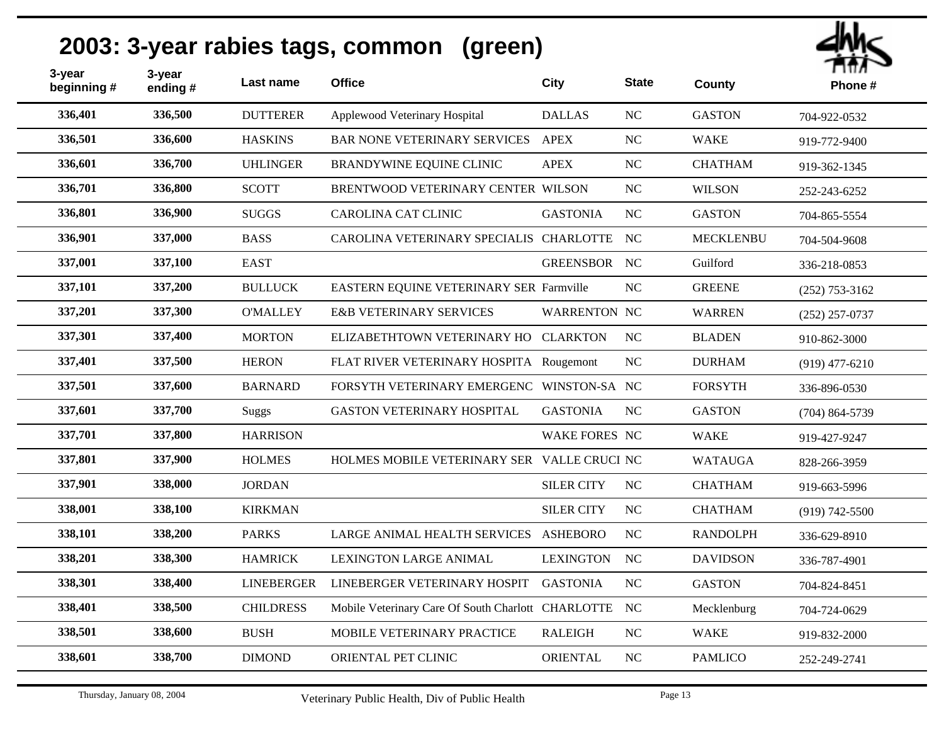

| 3-year<br>beginning# | 3-year<br>ending# | Last name         | <b>Office</b>                                      | City                 | <b>State</b>   | County           | .<br>Phone#        |
|----------------------|-------------------|-------------------|----------------------------------------------------|----------------------|----------------|------------------|--------------------|
| 336,401              | 336,500           | <b>DUTTERER</b>   | Applewood Veterinary Hospital                      | <b>DALLAS</b>        | <b>NC</b>      | <b>GASTON</b>    | 704-922-0532       |
| 336,501              | 336,600           | <b>HASKINS</b>    | <b>BAR NONE VETERINARY SERVICES</b>                | <b>APEX</b>          | NC             | <b>WAKE</b>      | 919-772-9400       |
| 336,601              | 336,700           | <b>UHLINGER</b>   | BRANDYWINE EQUINE CLINIC                           | <b>APEX</b>          | NC             | <b>CHATHAM</b>   | 919-362-1345       |
| 336,701              | 336,800           | <b>SCOTT</b>      | BRENTWOOD VETERINARY CENTER WILSON                 |                      | N <sub>C</sub> | <b>WILSON</b>    | 252-243-6252       |
| 336,801              | 336,900           | <b>SUGGS</b>      | <b>CAROLINA CAT CLINIC</b>                         | <b>GASTONIA</b>      | <b>NC</b>      | <b>GASTON</b>    | 704-865-5554       |
| 336,901              | 337,000           | <b>BASS</b>       | CAROLINA VETERINARY SPECIALIS CHARLOTTE NC         |                      |                | <b>MECKLENBU</b> | 704-504-9608       |
| 337,001              | 337,100           | <b>EAST</b>       |                                                    | GREENSBOR NC         |                | Guilford         | 336-218-0853       |
| 337,101              | 337,200           | <b>BULLUCK</b>    | EASTERN EQUINE VETERINARY SER Farmville            |                      | NC             | <b>GREENE</b>    | $(252)$ 753-3162   |
| 337,201              | 337,300           | <b>O'MALLEY</b>   | <b>E&amp;B VETERINARY SERVICES</b>                 | WARRENTON NC         |                | <b>WARREN</b>    | $(252)$ 257-0737   |
| 337,301              | 337,400           | <b>MORTON</b>     | ELIZABETHTOWN VETERINARY HO CLARKTON               |                      | NC             | <b>BLADEN</b>    | 910-862-3000       |
| 337,401              | 337,500           | <b>HERON</b>      | FLAT RIVER VETERINARY HOSPITA Rougemont            |                      | NC             | <b>DURHAM</b>    | $(919)$ 477-6210   |
| 337,501              | 337,600           | <b>BARNARD</b>    | FORSYTH VETERINARY EMERGENC WINSTON-SA NC          |                      |                | <b>FORSYTH</b>   | 336-896-0530       |
| 337,601              | 337,700           | <b>Suggs</b>      | <b>GASTON VETERINARY HOSPITAL</b>                  | <b>GASTONIA</b>      | <b>NC</b>      | <b>GASTON</b>    | $(704)$ 864-5739   |
| 337,701              | 337,800           | <b>HARRISON</b>   |                                                    | <b>WAKE FORES NC</b> |                | <b>WAKE</b>      | 919-427-9247       |
| 337,801              | 337,900           | <b>HOLMES</b>     | HOLMES MOBILE VETERINARY SER VALLE CRUCI NC        |                      |                | <b>WATAUGA</b>   | 828-266-3959       |
| 337,901              | 338,000           | <b>JORDAN</b>     |                                                    | <b>SILER CITY</b>    | NC             | <b>CHATHAM</b>   | 919-663-5996       |
| 338,001              | 338,100           | <b>KIRKMAN</b>    |                                                    | <b>SILER CITY</b>    | <b>NC</b>      | <b>CHATHAM</b>   | $(919) 742 - 5500$ |
| 338,101              | 338,200           | <b>PARKS</b>      | LARGE ANIMAL HEALTH SERVICES ASHEBORO              |                      | <b>NC</b>      | <b>RANDOLPH</b>  | 336-629-8910       |
| 338,201              | 338,300           | <b>HAMRICK</b>    | <b>LEXINGTON LARGE ANIMAL</b>                      | <b>LEXINGTON</b>     | <b>NC</b>      | <b>DAVIDSON</b>  | 336-787-4901       |
| 338,301              | 338,400           | <b>LINEBERGER</b> | LINEBERGER VETERINARY HOSPIT                       | <b>GASTONIA</b>      | NC             | <b>GASTON</b>    | 704-824-8451       |
| 338,401              | 338,500           | <b>CHILDRESS</b>  | Mobile Veterinary Care Of South Charlott CHARLOTTE |                      | NC             | Mecklenburg      | 704-724-0629       |
| 338,501              | 338,600           | <b>BUSH</b>       | MOBILE VETERINARY PRACTICE                         | <b>RALEIGH</b>       | <b>NC</b>      | <b>WAKE</b>      | 919-832-2000       |
| 338,601              | 338,700           | <b>DIMOND</b>     | ORIENTAL PET CLINIC                                | <b>ORIENTAL</b>      | NC             | <b>PAMLICO</b>   | 252-249-2741       |
|                      |                   |                   |                                                    |                      |                |                  |                    |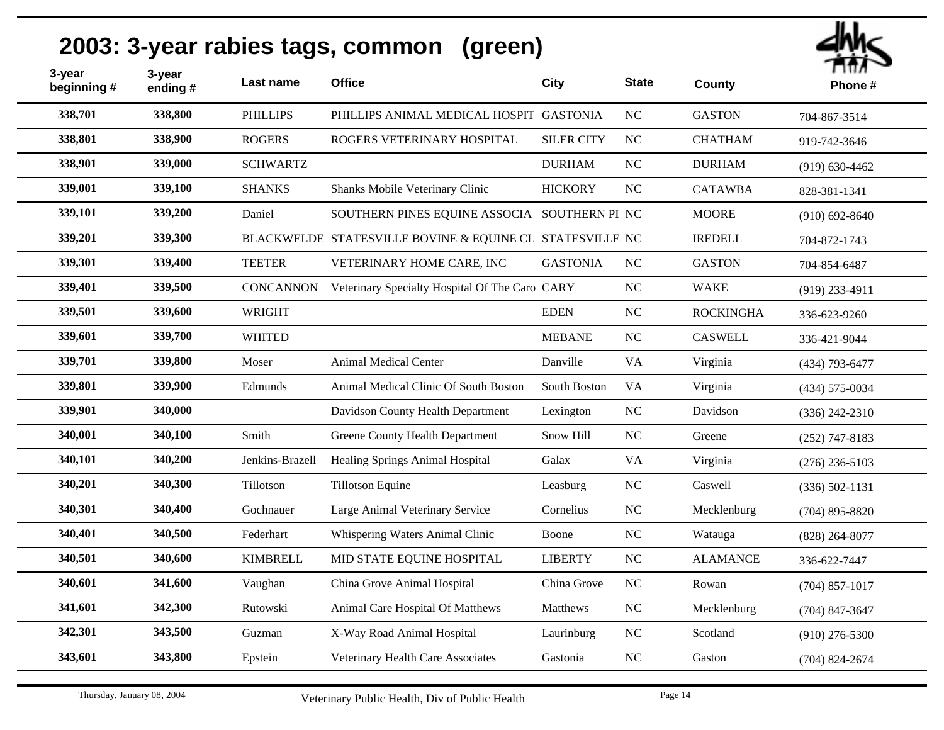| 3-year<br>beginning# | 3-year<br>ending $#$ | Last name        | <b>Office</b>                                            | <b>City</b>       | <b>State</b> | County           | ппл ~<br>Phone#    |
|----------------------|----------------------|------------------|----------------------------------------------------------|-------------------|--------------|------------------|--------------------|
| 338,701              | 338,800              | <b>PHILLIPS</b>  | PHILLIPS ANIMAL MEDICAL HOSPIT GASTONIA                  |                   | $\rm NC$     | <b>GASTON</b>    | 704-867-3514       |
| 338,801              | 338,900              | <b>ROGERS</b>    | ROGERS VETERINARY HOSPITAL                               | <b>SILER CITY</b> | NC           | <b>CHATHAM</b>   | 919-742-3646       |
| 338,901              | 339,000              | <b>SCHWARTZ</b>  |                                                          | <b>DURHAM</b>     | NC           | <b>DURHAM</b>    | $(919) 630 - 4462$ |
| 339,001              | 339,100              | <b>SHANKS</b>    | Shanks Mobile Veterinary Clinic                          | <b>HICKORY</b>    | <b>NC</b>    | <b>CATAWBA</b>   | 828-381-1341       |
| 339,101              | 339,200              | Daniel           | SOUTHERN PINES EQUINE ASSOCIA SOUTHERN PI NC             |                   |              | <b>MOORE</b>     | $(910) 692 - 8640$ |
| 339,201              | 339,300              |                  | BLACKWELDE STATESVILLE BOVINE & EQUINE CL STATESVILLE NC |                   |              | <b>IREDELL</b>   | 704-872-1743       |
| 339,301              | 339,400              | <b>TEETER</b>    | VETERINARY HOME CARE, INC                                | <b>GASTONIA</b>   | NC           | <b>GASTON</b>    | 704-854-6487       |
| 339,401              | 339,500              | <b>CONCANNON</b> | Veterinary Specialty Hospital Of The Caro CARY           |                   | NC           | <b>WAKE</b>      | $(919)$ 233-4911   |
| 339,501              | 339,600              | <b>WRIGHT</b>    |                                                          | <b>EDEN</b>       | NC           | <b>ROCKINGHA</b> | 336-623-9260       |
| 339,601              | 339,700              | <b>WHITED</b>    |                                                          | <b>MEBANE</b>     | <b>NC</b>    | <b>CASWELL</b>   | 336-421-9044       |
| 339,701              | 339,800              | Moser            | <b>Animal Medical Center</b>                             | Danville          | <b>VA</b>    | Virginia         | $(434)$ 793-6477   |
| 339,801              | 339,900              | Edmunds          | Animal Medical Clinic Of South Boston                    | South Boston      | <b>VA</b>    | Virginia         | $(434)$ 575-0034   |
| 339,901              | 340,000              |                  | Davidson County Health Department                        | Lexington         | NC           | Davidson         | $(336)$ 242-2310   |
| 340,001              | 340,100              | Smith            | Greene County Health Department                          | Snow Hill         | NC           | Greene           | $(252)$ 747-8183   |
| 340,101              | 340,200              | Jenkins-Brazell  | Healing Springs Animal Hospital                          | Galax             | <b>VA</b>    | Virginia         | $(276)$ 236-5103   |
| 340,201              | 340,300              | Tillotson        | <b>Tillotson Equine</b>                                  | Leasburg          | $\rm NC$     | Caswell          | $(336) 502 - 1131$ |
| 340,301              | 340,400              | Gochnauer        | Large Animal Veterinary Service                          | Cornelius         | NC           | Mecklenburg      | $(704)$ 895-8820   |
| 340,401              | 340,500              | Federhart        | Whispering Waters Animal Clinic                          | Boone             | NC           | Watauga          | $(828)$ 264-8077   |
| 340,501              | 340,600              | <b>KIMBRELL</b>  | MID STATE EQUINE HOSPITAL                                | <b>LIBERTY</b>    | NC           | <b>ALAMANCE</b>  | 336-622-7447       |
| 340,601              | 341,600              | Vaughan          | China Grove Animal Hospital                              | China Grove       | NC           | Rowan            | $(704)$ 857-1017   |
| 341,601              | 342,300              | Rutowski         | Animal Care Hospital Of Matthews                         | Matthews          | $\rm NC$     | Mecklenburg      | $(704)$ 847-3647   |
| 342,301              | 343,500              | Guzman           | X-Way Road Animal Hospital                               | Laurinburg        | $\rm NC$     | Scotland         | $(910)$ 276-5300   |
| 343,601              | 343,800              | Epstein          | Veterinary Health Care Associates                        | Gastonia          | NC           | Gaston           | $(704)$ 824-2674   |
|                      |                      |                  |                                                          |                   |              |                  |                    |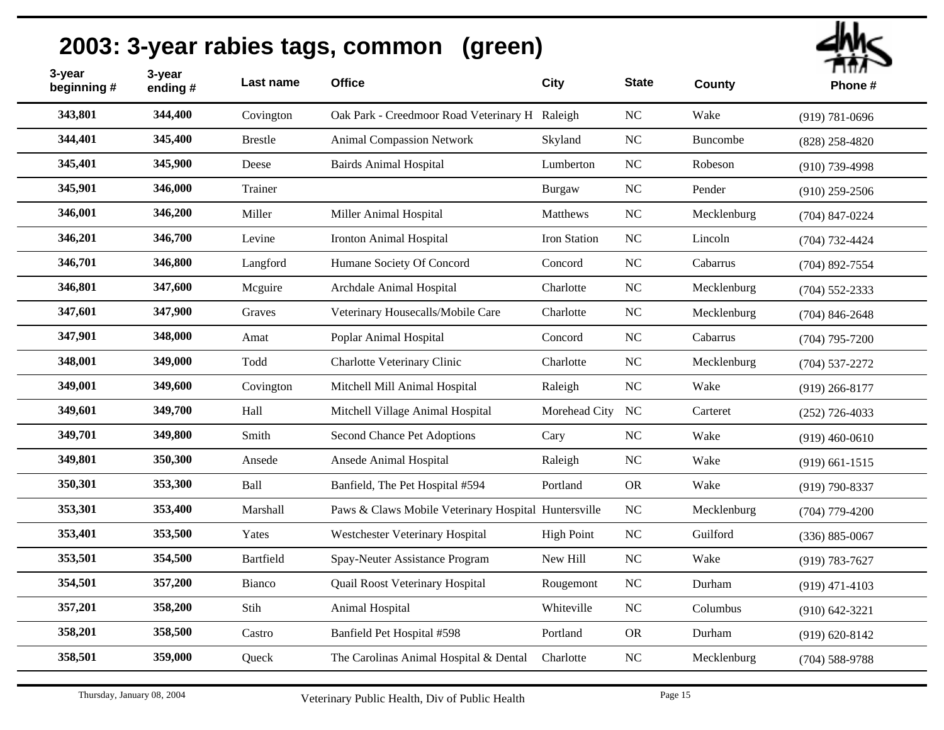| 3-year<br>beginning # | 3-year<br>ending# | Last name      | <b>Office</b>                                        | City              | <b>State</b> | County      | гшл<br>Phone#      |
|-----------------------|-------------------|----------------|------------------------------------------------------|-------------------|--------------|-------------|--------------------|
| 343,801               | 344,400           | Covington      | Oak Park - Creedmoor Road Veterinary H Raleigh       |                   | NC           | Wake        | $(919) 781 - 0696$ |
| 344,401               | 345,400           | <b>Brestle</b> | <b>Animal Compassion Network</b>                     | Skyland           | $\rm NC$     | Buncombe    | $(828)$ 258-4820   |
| 345,401               | 345,900           | Deese          | <b>Bairds Animal Hospital</b>                        | Lumberton         | $\rm NC$     | Robeson     | $(910)$ 739-4998   |
| 345,901               | 346,000           | Trainer        |                                                      | Burgaw            | NC           | Pender      | $(910)$ 259-2506   |
| 346,001               | 346,200           | Miller         | Miller Animal Hospital                               | Matthews          | $\rm NC$     | Mecklenburg | $(704)$ 847-0224   |
| 346,201               | 346,700           | Levine         | Ironton Animal Hospital                              | Iron Station      | NC           | Lincoln     | $(704) 732 - 4424$ |
| 346,701               | 346,800           | Langford       | Humane Society Of Concord                            | Concord           | NC           | Cabarrus    | $(704)$ 892-7554   |
| 346,801               | 347,600           | Mcguire        | Archdale Animal Hospital                             | Charlotte         | NC           | Mecklenburg | $(704)$ 552-2333   |
| 347,601               | 347,900           | Graves         | Veterinary Housecalls/Mobile Care                    | Charlotte         | NC           | Mecklenburg | $(704)$ 846-2648   |
| 347,901               | 348,000           | Amat           | Poplar Animal Hospital                               | Concord           | $\rm NC$     | Cabarrus    | $(704)$ 795-7200   |
| 348,001               | 349,000           | Todd           | Charlotte Veterinary Clinic                          | Charlotte         | NC           | Mecklenburg | $(704) 537 - 2272$ |
| 349,001               | 349,600           | Covington      | Mitchell Mill Animal Hospital                        | Raleigh           | NC           | Wake        | $(919)$ 266-8177   |
| 349,601               | 349,700           | Hall           | Mitchell Village Animal Hospital                     | Morehead City NC  |              | Carteret    | $(252)$ 726-4033   |
| 349,701               | 349,800           | Smith          | Second Chance Pet Adoptions                          | Cary              | $\rm NC$     | Wake        | $(919)$ 460-0610   |
| 349,801               | 350,300           | Ansede         | Ansede Animal Hospital                               | Raleigh           | NC           | Wake        | $(919) 661 - 1515$ |
| 350,301               | 353,300           | Ball           | Banfield, The Pet Hospital #594                      | Portland          | <b>OR</b>    | Wake        | $(919)$ 790-8337   |
| 353,301               | 353,400           | Marshall       | Paws & Claws Mobile Veterinary Hospital Huntersville |                   | ${\rm NC}$   | Mecklenburg | $(704)$ 779-4200   |
| 353,401               | 353,500           | Yates          | Westchester Veterinary Hospital                      | <b>High Point</b> | $\rm NC$     | Guilford    | $(336) 885 - 0067$ |
| 353,501               | 354,500           | Bartfield      | Spay-Neuter Assistance Program                       | New Hill          | $\rm NC$     | Wake        | $(919) 783 - 7627$ |
| 354,501               | 357,200           | Bianco         | Quail Roost Veterinary Hospital                      | Rougemont         | NC           | Durham      | $(919)$ 471-4103   |
| 357,201               | 358,200           | Stih           | Animal Hospital                                      | Whiteville        | NC           | Columbus    | $(910) 642 - 3221$ |
| 358,201               | 358,500           | Castro         | Banfield Pet Hospital #598                           | Portland          | <b>OR</b>    | Durham      | $(919) 620 - 8142$ |
| 358,501               | 359,000           | Queck          | The Carolinas Animal Hospital & Dental               | Charlotte         | $\rm NC$     | Mecklenburg | $(704)$ 588-9788   |
|                       |                   |                |                                                      |                   |              |             |                    |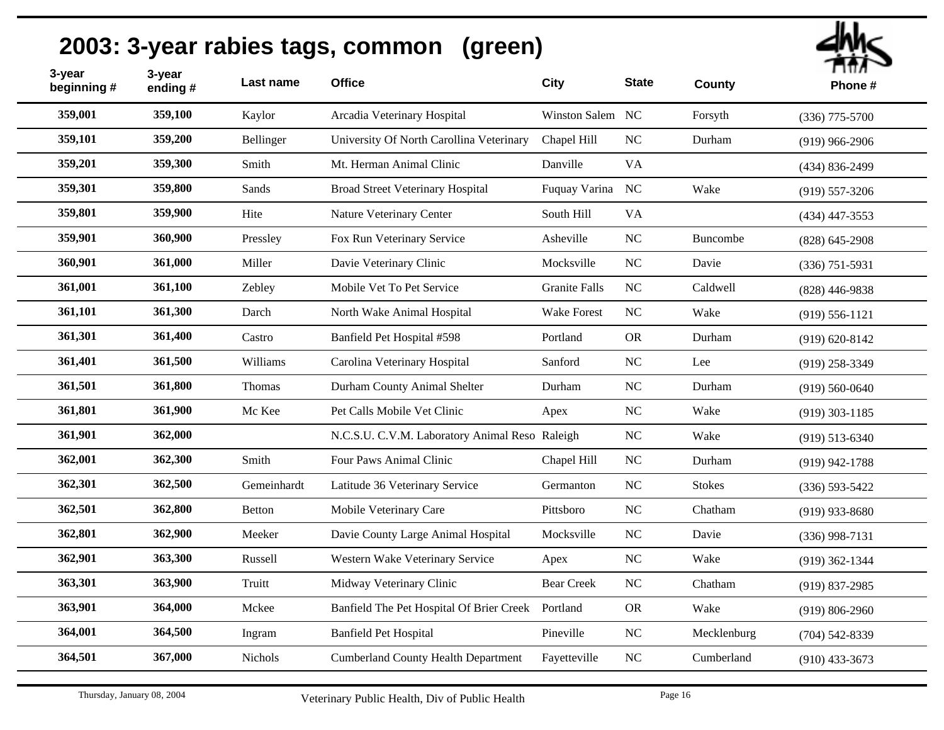| 3-year<br>beginning # | 3-year<br>ending# | Last name   | <b>Office</b>                                  | City                 | <b>State</b> | County        | тил<br>Phone #     |
|-----------------------|-------------------|-------------|------------------------------------------------|----------------------|--------------|---------------|--------------------|
| 359,001               | 359,100           | Kaylor      | Arcadia Veterinary Hospital                    | Winston Salem NC     |              | Forsyth       | $(336)$ 775-5700   |
| 359,101               | 359,200           | Bellinger   | University Of North Carollina Veterinary       | Chapel Hill          | NC           | Durham        | $(919)$ 966-2906   |
| 359,201               | 359,300           | Smith       | Mt. Herman Animal Clinic                       | Danville             | <b>VA</b>    |               | (434) 836-2499     |
| 359,301               | 359,800           | Sands       | <b>Broad Street Veterinary Hospital</b>        | Fuquay Varina NC     |              | Wake          | $(919) 557 - 3206$ |
| 359,801               | 359,900           | Hite        | Nature Veterinary Center                       | South Hill           | <b>VA</b>    |               | $(434)$ 447-3553   |
| 359,901               | 360,900           | Pressley    | Fox Run Veterinary Service                     | Asheville            | NC           | Buncombe      | $(828) 645 - 2908$ |
| 360,901               | 361,000           | Miller      | Davie Veterinary Clinic                        | Mocksville           | NC           | Davie         | $(336)$ 751-5931   |
| 361,001               | 361,100           | Zebley      | Mobile Vet To Pet Service                      | <b>Granite Falls</b> | NC           | Caldwell      | $(828)$ 446-9838   |
| 361,101               | 361,300           | Darch       | North Wake Animal Hospital                     | <b>Wake Forest</b>   | NC           | Wake          | $(919) 556 - 1121$ |
| 361,301               | 361,400           | Castro      | Banfield Pet Hospital #598                     | Portland             | <b>OR</b>    | Durham        | $(919) 620 - 8142$ |
| 361,401               | 361,500           | Williams    | Carolina Veterinary Hospital                   | Sanford              | NC           | Lee           | $(919)$ 258-3349   |
| 361,501               | 361,800           | Thomas      | Durham County Animal Shelter                   | Durham               | $NC$         | Durham        | $(919) 560 - 0640$ |
| 361,801               | 361,900           | Mc Kee      | Pet Calls Mobile Vet Clinic                    | Apex                 | NC           | Wake          | $(919)$ 303-1185   |
| 361,901               | 362,000           |             | N.C.S.U. C.V.M. Laboratory Animal Reso Raleigh |                      | $\rm NC$     | Wake          | $(919)$ 513-6340   |
| 362,001               | 362,300           | Smith       | Four Paws Animal Clinic                        | Chapel Hill          | NC           | Durham        | $(919)$ 942-1788   |
| 362,301               | 362,500           | Gemeinhardt | Latitude 36 Veterinary Service                 | Germanton            | $\rm NC$     | <b>Stokes</b> | $(336) 593 - 5422$ |
| 362,501               | 362,800           | Betton      | Mobile Veterinary Care                         | Pittsboro            | NC           | Chatham       | $(919)$ 933-8680   |
| 362,801               | 362,900           | Meeker      | Davie County Large Animal Hospital             | Mocksville           | $\rm NC$     | Davie         | $(336)$ 998-7131   |
| 362,901               | 363,300           | Russell     | Western Wake Veterinary Service                | Apex                 | NC           | Wake          | $(919)$ 362-1344   |
| 363,301               | 363,900           | Truitt      | Midway Veterinary Clinic                       | <b>Bear Creek</b>    | NC           | Chatham       | $(919) 837 - 2985$ |
| 363,901               | 364,000           | Mckee       | Banfield The Pet Hospital Of Brier Creek       | Portland             | <b>OR</b>    | Wake          | $(919) 806 - 2960$ |
| 364,001               | 364,500           | Ingram      | <b>Banfield Pet Hospital</b>                   | Pineville            | $NC$         | Mecklenburg   | $(704)$ 542-8339   |
| 364,501               | 367,000           | Nichols     | <b>Cumberland County Health Department</b>     | Fayetteville         | NC           | Cumberland    | $(910)$ 433-3673   |
|                       |                   |             |                                                |                      |              |               |                    |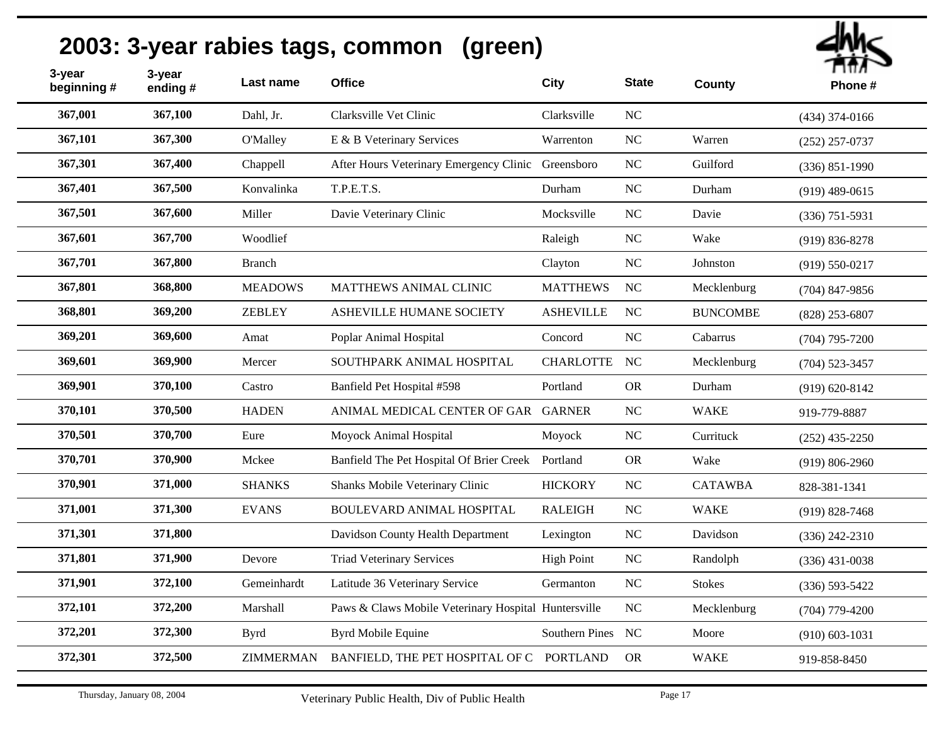| 3-year<br>beginning# | 3-year<br>ending# | Last name        | <b>Office</b>                                        | <b>City</b>       | <b>State</b> | County          | т шл<br>Phone #    |
|----------------------|-------------------|------------------|------------------------------------------------------|-------------------|--------------|-----------------|--------------------|
| 367,001              | 367,100           | Dahl, Jr.        | Clarksville Vet Clinic                               | Clarksville       | NC           |                 | $(434)$ 374-0166   |
| 367,101              | 367,300           | O'Malley         | E & B Veterinary Services                            | Warrenton         | NC           | Warren          | $(252)$ 257-0737   |
| 367,301              | 367,400           | Chappell         | After Hours Veterinary Emergency Clinic Greensboro   |                   | NC           | Guilford        | $(336) 851 - 1990$ |
| 367,401              | 367,500           | Konvalinka       | T.P.E.T.S.                                           | Durham            | NC           | Durham          | $(919)$ 489-0615   |
| 367,501              | 367,600           | Miller           | Davie Veterinary Clinic                              | Mocksville        | $_{\rm NC}$  | Davie           | $(336)$ 751-5931   |
| 367,601              | 367,700           | Woodlief         |                                                      | Raleigh           | NC           | Wake            | $(919) 836 - 8278$ |
| 367,701              | 367,800           | <b>Branch</b>    |                                                      | Clayton           | $_{\rm NC}$  | Johnston        | $(919) 550 - 0217$ |
| 367,801              | 368,800           | <b>MEADOWS</b>   | MATTHEWS ANIMAL CLINIC                               | <b>MATTHEWS</b>   | NC           | Mecklenburg     | $(704)$ 847-9856   |
| 368,801              | 369,200           | <b>ZEBLEY</b>    | ASHEVILLE HUMANE SOCIETY                             | <b>ASHEVILLE</b>  | NC           | <b>BUNCOMBE</b> | $(828)$ 253-6807   |
| 369,201              | 369,600           | Amat             | Poplar Animal Hospital                               | Concord           | NC           | Cabarrus        | $(704)$ 795-7200   |
| 369,601              | 369,900           | Mercer           | SOUTHPARK ANIMAL HOSPITAL                            | <b>CHARLOTTE</b>  | NC           | Mecklenburg     | $(704)$ 523-3457   |
| 369,901              | 370,100           | Castro           | Banfield Pet Hospital #598                           | Portland          | <b>OR</b>    | Durham          | $(919) 620 - 8142$ |
| 370,101              | 370,500           | <b>HADEN</b>     | ANIMAL MEDICAL CENTER OF GAR GARNER                  |                   | NC           | <b>WAKE</b>     | 919-779-8887       |
| 370,501              | 370,700           | Eure             | Moyock Animal Hospital                               | Moyock            | $\rm NC$     | Currituck       | $(252)$ 435-2250   |
| 370,701              | 370,900           | Mckee            | Banfield The Pet Hospital Of Brier Creek             | Portland          | <b>OR</b>    | Wake            | $(919) 806 - 2960$ |
| 370,901              | 371,000           | <b>SHANKS</b>    | Shanks Mobile Veterinary Clinic                      | <b>HICKORY</b>    | $\rm NC$     | <b>CATAWBA</b>  | 828-381-1341       |
| 371,001              | 371,300           | <b>EVANS</b>     | BOULEVARD ANIMAL HOSPITAL                            | <b>RALEIGH</b>    | NC           | <b>WAKE</b>     | $(919) 828 - 7468$ |
| 371,301              | 371,800           |                  | Davidson County Health Department                    | Lexington         | $_{\rm NC}$  | Davidson        | $(336)$ 242-2310   |
| 371,801              | 371,900           | Devore           | <b>Triad Veterinary Services</b>                     | <b>High Point</b> | $_{\rm NC}$  | Randolph        | $(336)$ 431-0038   |
| 371,901              | 372,100           | Gemeinhardt      | Latitude 36 Veterinary Service                       | Germanton         | NC           | <b>Stokes</b>   | $(336) 593 - 5422$ |
| 372,101              | 372,200           | Marshall         | Paws & Claws Mobile Veterinary Hospital Huntersville |                   | NC           | Mecklenburg     | $(704)$ 779-4200   |
| 372,201              | 372,300           | <b>Byrd</b>      | <b>Byrd Mobile Equine</b>                            | Southern Pines NC |              | Moore           | $(910) 603 - 1031$ |
| 372,301              | 372,500           | <b>ZIMMERMAN</b> | BANFIELD, THE PET HOSPITAL OF C PORTLAND             |                   | <b>OR</b>    | <b>WAKE</b>     | 919-858-8450       |
|                      |                   |                  |                                                      |                   |              |                 |                    |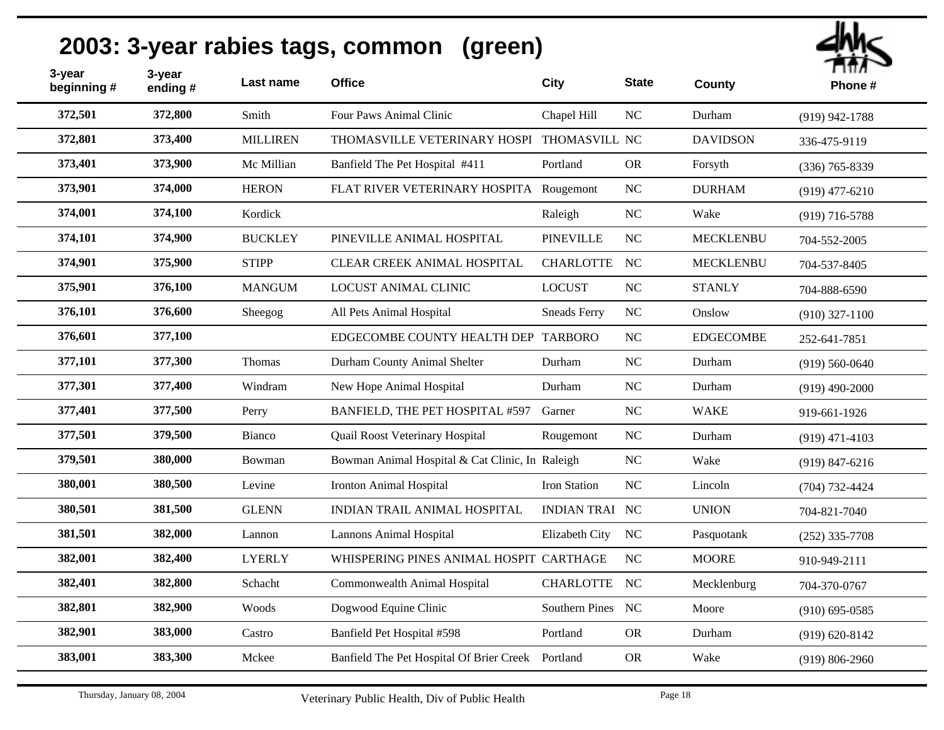| 3-year<br>beginning # | 3-year<br>ending# | Last name       | <b>Office</b>                                   | City                  | <b>State</b> | County           | гшл<br>Phone#      |
|-----------------------|-------------------|-----------------|-------------------------------------------------|-----------------------|--------------|------------------|--------------------|
| 372,501               | 372,800           | Smith           | Four Paws Animal Clinic                         | Chapel Hill           | NC           | Durham           | $(919)$ 942-1788   |
| 372,801               | 373,400           | <b>MILLIREN</b> | THOMASVILLE VETERINARY HOSPI THOMASVILL NC      |                       |              | <b>DAVIDSON</b>  | 336-475-9119       |
| 373,401               | 373,900           | Mc Millian      | Banfield The Pet Hospital #411                  | Portland              | <b>OR</b>    | Forsyth          | $(336)$ 765-8339   |
| 373,901               | 374,000           | <b>HERON</b>    | FLAT RIVER VETERINARY HOSPITA                   | Rougemont             | NC           | <b>DURHAM</b>    | $(919)$ 477-6210   |
| 374,001               | 374,100           | Kordick         |                                                 | Raleigh               | NC           | Wake             | $(919)$ 716-5788   |
| 374,101               | 374,900           | <b>BUCKLEY</b>  | PINEVILLE ANIMAL HOSPITAL                       | <b>PINEVILLE</b>      | NC           | <b>MECKLENBU</b> | 704-552-2005       |
| 374,901               | 375,900           | <b>STIPP</b>    | CLEAR CREEK ANIMAL HOSPITAL                     | <b>CHARLOTTE</b>      | NC           | <b>MECKLENBU</b> | 704-537-8405       |
| 375,901               | 376,100           | <b>MANGUM</b>   | <b>LOCUST ANIMAL CLINIC</b>                     | <b>LOCUST</b>         | NC           | <b>STANLY</b>    | 704-888-6590       |
| 376,101               | 376,600           | Sheegog         | All Pets Animal Hospital                        | <b>Sneads Ferry</b>   | NC           | Onslow           | $(910)$ 327-1100   |
| 376,601               | 377,100           |                 | EDGECOMBE COUNTY HEALTH DEP TARBORO             |                       | NC           | <b>EDGECOMBE</b> | 252-641-7851       |
| 377,101               | 377,300           | Thomas          | Durham County Animal Shelter                    | Durham                | $_{\rm NC}$  | Durham           | $(919)$ 560-0640   |
| 377,301               | 377,400           | Windram         | New Hope Animal Hospital                        | Durham                | NC           | Durham           | $(919)$ 490-2000   |
| 377,401               | 377,500           | Perry           | BANFIELD, THE PET HOSPITAL #597                 | Garner                | NC           | WAKE             | 919-661-1926       |
| 377,501               | 379,500           | Bianco          | Quail Roost Veterinary Hospital                 | Rougemont             | NC           | Durham           | $(919)$ 471-4103   |
| 379,501               | 380,000           | Bowman          | Bowman Animal Hospital & Cat Clinic, In Raleigh |                       | NC           | Wake             | $(919) 847 - 6216$ |
| 380,001               | 380,500           | Levine          | <b>Ironton Animal Hospital</b>                  | Iron Station          | NC           | Lincoln          | $(704) 732 - 4424$ |
| 380,501               | 381,500           | <b>GLENN</b>    | INDIAN TRAIL ANIMAL HOSPITAL                    | <b>INDIAN TRAI NC</b> |              | <b>UNION</b>     | 704-821-7040       |
| 381,501               | 382,000           | Lannon          | <b>Lannons Animal Hospital</b>                  | Elizabeth City        | NC           | Pasquotank       | $(252)$ 335-7708   |
| 382,001               | 382,400           | <b>LYERLY</b>   | WHISPERING PINES ANIMAL HOSPIT CARTHAGE         |                       | NC           | <b>MOORE</b>     | 910-949-2111       |
| 382,401               | 382,800           | Schacht         | Commonwealth Animal Hospital                    | <b>CHARLOTTE</b>      | NC           | Mecklenburg      | 704-370-0767       |
| 382,801               | 382,900           | Woods           | Dogwood Equine Clinic                           | Southern Pines        | NC           | Moore            | $(910)$ 695-0585   |
| 382,901               | 383,000           | Castro          | Banfield Pet Hospital #598                      | Portland              | ${\rm OR}$   | Durham           | $(919) 620 - 8142$ |
| 383,001               | 383,300           | Mckee           | Banfield The Pet Hospital Of Brier Creek        | Portland              | <b>OR</b>    | Wake             | $(919) 806 - 2960$ |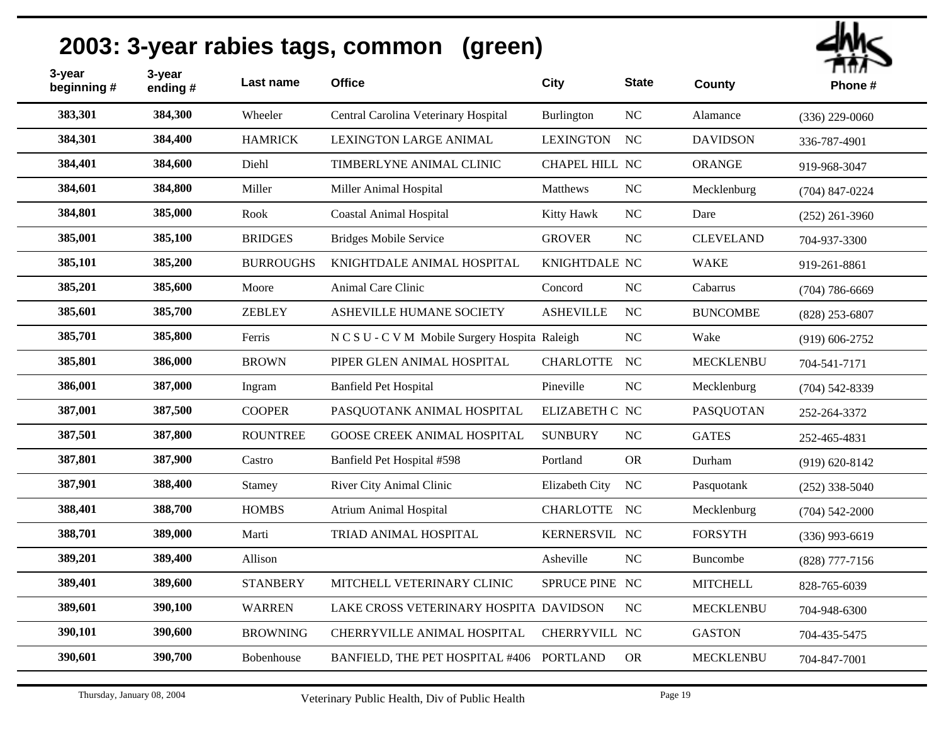| 3-year<br>beginning # | 3-year<br>ending# | Last name        | <b>Office</b>                                  | City             | <b>State</b>   | County           | ПШЛ<br>Phone#      |
|-----------------------|-------------------|------------------|------------------------------------------------|------------------|----------------|------------------|--------------------|
| 383,301               | 384,300           | Wheeler          | Central Carolina Veterinary Hospital           | Burlington       | NC             | Alamance         | $(336)$ 229-0060   |
| 384,301               | 384,400           | <b>HAMRICK</b>   | <b>LEXINGTON LARGE ANIMAL</b>                  | <b>LEXINGTON</b> | NC             | <b>DAVIDSON</b>  | 336-787-4901       |
| 384,401               | 384,600           | Diehl            | TIMBERLYNE ANIMAL CLINIC                       | CHAPEL HILL NC   |                | ORANGE           | 919-968-3047       |
| 384,601               | 384,800           | Miller           | Miller Animal Hospital                         | Matthews         | NC             | Mecklenburg      | $(704)$ 847-0224   |
| 384,801               | 385,000           | Rook             | <b>Coastal Animal Hospital</b>                 | Kitty Hawk       | $\rm NC$       | Dare             | $(252)$ 261-3960   |
| 385,001               | 385,100           | <b>BRIDGES</b>   | <b>Bridges Mobile Service</b>                  | <b>GROVER</b>    | NC             | <b>CLEVELAND</b> | 704-937-3300       |
| 385,101               | 385,200           | <b>BURROUGHS</b> | KNIGHTDALE ANIMAL HOSPITAL                     | KNIGHTDALE NC    |                | <b>WAKE</b>      | 919-261-8861       |
| 385,201               | 385,600           | Moore            | Animal Care Clinic                             | Concord          | NC             | Cabarrus         | $(704) 786 - 6669$ |
| 385,601               | 385,700           | <b>ZEBLEY</b>    | ASHEVILLE HUMANE SOCIETY                       | <b>ASHEVILLE</b> | NC             | <b>BUNCOMBE</b>  | $(828)$ 253-6807   |
| 385,701               | 385,800           | Ferris           | N C S U - C V M Mobile Surgery Hospita Raleigh |                  | NC             | Wake             | $(919) 606 - 2752$ |
| 385,801               | 386,000           | <b>BROWN</b>     | PIPER GLEN ANIMAL HOSPITAL                     | <b>CHARLOTTE</b> | NC             | <b>MECKLENBU</b> | 704-541-7171       |
| 386,001               | 387,000           | Ingram           | <b>Banfield Pet Hospital</b>                   | Pineville        | NC             | Mecklenburg      | $(704)$ 542-8339   |
| 387,001               | 387,500           | <b>COOPER</b>    | PASQUOTANK ANIMAL HOSPITAL                     | ELIZABETH C NC   |                | <b>PASQUOTAN</b> | 252-264-3372       |
| 387,501               | 387,800           | <b>ROUNTREE</b>  | <b>GOOSE CREEK ANIMAL HOSPITAL</b>             | <b>SUNBURY</b>   | NC             | <b>GATES</b>     | 252-465-4831       |
| 387,801               | 387,900           | Castro           | Banfield Pet Hospital #598                     | Portland         | <b>OR</b>      | Durham           | $(919) 620 - 8142$ |
| 387,901               | 388,400           | Stamey           | River City Animal Clinic                       | Elizabeth City   | <b>NC</b>      | Pasquotank       | $(252)$ 338-5040   |
| 388,401               | 388,700           | <b>HOMBS</b>     | <b>Atrium Animal Hospital</b>                  | <b>CHARLOTTE</b> | NC             | Mecklenburg      | $(704)$ 542-2000   |
| 388,701               | 389,000           | Marti            | TRIAD ANIMAL HOSPITAL                          | KERNERSVIL NC    |                | <b>FORSYTH</b>   | $(336)$ 993-6619   |
| 389,201               | 389,400           | Allison          |                                                | Asheville        | N <sub>C</sub> | Buncombe         | $(828)$ 777-7156   |
| 389,401               | 389,600           | <b>STANBERY</b>  | MITCHELL VETERINARY CLINIC                     | SPRUCE PINE NC   |                | <b>MITCHELL</b>  | 828-765-6039       |
| 389,601               | 390,100           | <b>WARREN</b>    | LAKE CROSS VETERINARY HOSPITA DAVIDSON         |                  | NC             | <b>MECKLENBU</b> | 704-948-6300       |
| 390,101               | 390,600           | <b>BROWNING</b>  | CHERRYVILLE ANIMAL HOSPITAL                    | CHERRYVILL NC    |                | <b>GASTON</b>    | 704-435-5475       |
| 390,601               | 390,700           | Bobenhouse       | BANFIELD, THE PET HOSPITAL #406 PORTLAND       |                  | <b>OR</b>      | <b>MECKLENBU</b> | 704-847-7001       |
|                       |                   |                  |                                                |                  |                |                  |                    |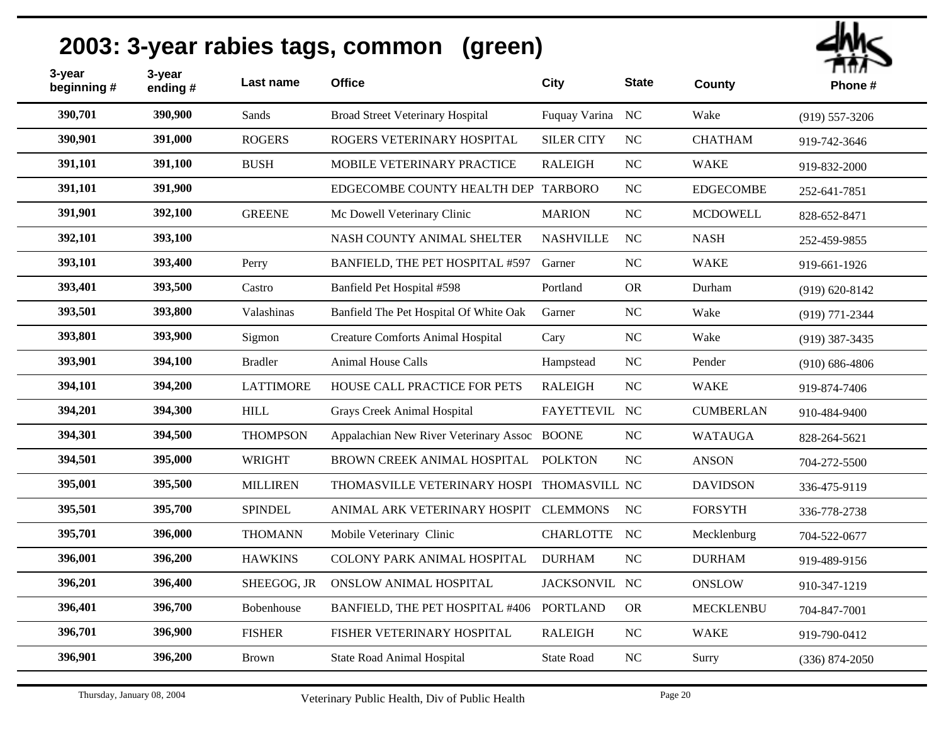| 3-year<br>beginning # | 3-year<br>ending# | Last name        | <b>Office</b>                                | <b>City</b>       | <b>State</b> | County           | т пил<br>Phone#    |
|-----------------------|-------------------|------------------|----------------------------------------------|-------------------|--------------|------------------|--------------------|
| 390,701               | 390,900           | Sands            | <b>Broad Street Veterinary Hospital</b>      | Fuquay Varina NC  |              | Wake             | $(919)$ 557-3206   |
| 390,901               | 391,000           | <b>ROGERS</b>    | ROGERS VETERINARY HOSPITAL                   | <b>SILER CITY</b> | NC           | <b>CHATHAM</b>   | 919-742-3646       |
| 391,101               | 391,100           | <b>BUSH</b>      | MOBILE VETERINARY PRACTICE                   | <b>RALEIGH</b>    | $\rm NC$     | <b>WAKE</b>      | 919-832-2000       |
| 391,101               | 391,900           |                  | EDGECOMBE COUNTY HEALTH DEP TARBORO          |                   | NC           | <b>EDGECOMBE</b> | 252-641-7851       |
| 391,901               | 392,100           | <b>GREENE</b>    | Mc Dowell Veterinary Clinic                  | <b>MARION</b>     | $NC$         | <b>MCDOWELL</b>  | 828-652-8471       |
| 392,101               | 393,100           |                  | NASH COUNTY ANIMAL SHELTER                   | <b>NASHVILLE</b>  | $_{\rm NC}$  | <b>NASH</b>      | 252-459-9855       |
| 393,101               | 393,400           | Perry            | BANFIELD, THE PET HOSPITAL #597              | Garner            | NC           | <b>WAKE</b>      | 919-661-1926       |
| 393,401               | 393,500           | Castro           | Banfield Pet Hospital #598                   | Portland          | <b>OR</b>    | Durham           | $(919) 620 - 8142$ |
| 393,501               | 393,800           | Valashinas       | Banfield The Pet Hospital Of White Oak       | Garner            | NC           | Wake             | $(919)$ 771-2344   |
| 393,801               | 393,900           | Sigmon           | <b>Creature Comforts Animal Hospital</b>     | Cary              | NC           | Wake             | $(919)$ 387-3435   |
| 393,901               | 394,100           | <b>Bradler</b>   | <b>Animal House Calls</b>                    | Hampstead         | NC           | Pender           | $(910)$ 686-4806   |
| 394,101               | 394,200           | <b>LATTIMORE</b> | <b>HOUSE CALL PRACTICE FOR PETS</b>          | <b>RALEIGH</b>    | NC           | <b>WAKE</b>      | 919-874-7406       |
| 394,201               | 394,300           | <b>HILL</b>      | Grays Creek Animal Hospital                  | FAYETTEVIL NC     |              | <b>CUMBERLAN</b> | 910-484-9400       |
| 394,301               | 394,500           | <b>THOMPSON</b>  | Appalachian New River Veterinary Assoc BOONE |                   | NC           | <b>WATAUGA</b>   | 828-264-5621       |
| 394,501               | 395,000           | <b>WRIGHT</b>    | BROWN CREEK ANIMAL HOSPITAL                  | <b>POLKTON</b>    | $\rm NC$     | <b>ANSON</b>     | 704-272-5500       |
| 395,001               | 395,500           | <b>MILLIREN</b>  | THOMASVILLE VETERINARY HOSPI THOMASVILL NC   |                   |              | <b>DAVIDSON</b>  | 336-475-9119       |
| 395,501               | 395,700           | <b>SPINDEL</b>   | ANIMAL ARK VETERINARY HOSPIT                 | <b>CLEMMONS</b>   | <b>NC</b>    | <b>FORSYTH</b>   | 336-778-2738       |
| 395,701               | 396,000           | <b>THOMANN</b>   | Mobile Veterinary Clinic                     | CHARLOTTE NC      |              | Mecklenburg      | 704-522-0677       |
| 396,001               | 396,200           | <b>HAWKINS</b>   | <b>COLONY PARK ANIMAL HOSPITAL</b>           | <b>DURHAM</b>     | NC           | <b>DURHAM</b>    | 919-489-9156       |
| 396,201               | 396,400           | SHEEGOG, JR      | <b>ONSLOW ANIMAL HOSPITAL</b>                | JACKSONVIL NC     |              | <b>ONSLOW</b>    | 910-347-1219       |
| 396,401               | 396,700           | Bobenhouse       | BANFIELD, THE PET HOSPITAL #406              | <b>PORTLAND</b>   | <b>OR</b>    | <b>MECKLENBU</b> | 704-847-7001       |
| 396,701               | 396,900           | <b>FISHER</b>    | FISHER VETERINARY HOSPITAL                   | <b>RALEIGH</b>    | NC           | <b>WAKE</b>      | 919-790-0412       |
| 396,901               | 396,200           | Brown            | <b>State Road Animal Hospital</b>            | <b>State Road</b> | $\rm NC$     | Surry            | $(336) 874 - 2050$ |
|                       |                   |                  |                                              |                   |              |                  |                    |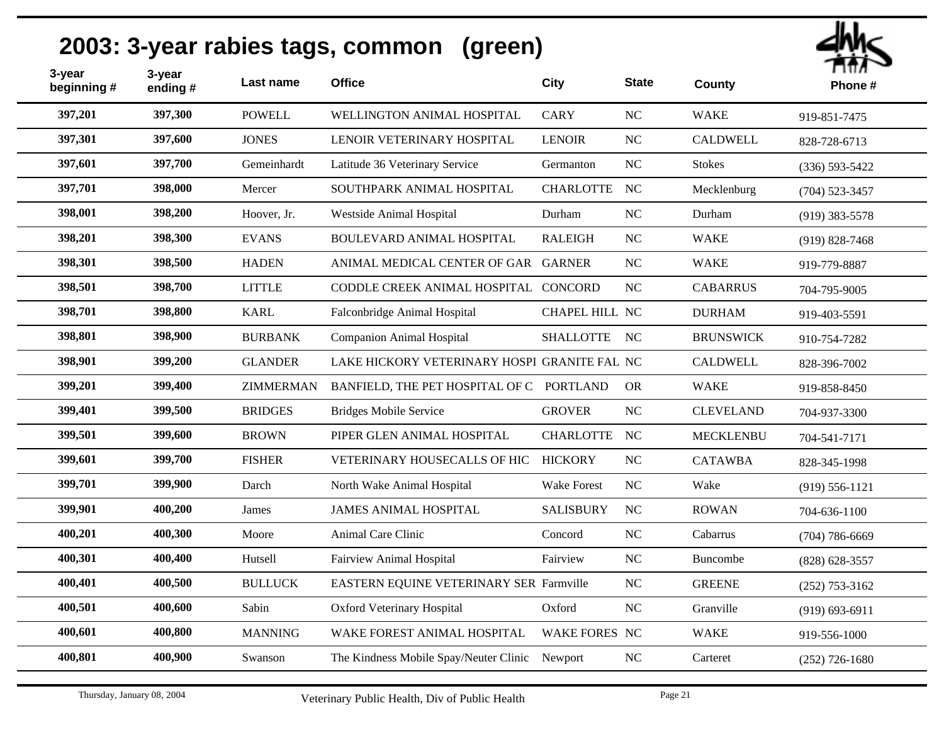| 3-year<br>beginning # | 3-year<br>ending# | Last name        | <b>Office</b>                                  | City               | <b>State</b>   | County           | Пπл<br>Phone#      |
|-----------------------|-------------------|------------------|------------------------------------------------|--------------------|----------------|------------------|--------------------|
| 397,201               | 397,300           | <b>POWELL</b>    | WELLINGTON ANIMAL HOSPITAL                     | <b>CARY</b>        | NC             | <b>WAKE</b>      | 919-851-7475       |
| 397,301               | 397,600           | <b>JONES</b>     | LENOIR VETERINARY HOSPITAL                     | <b>LENOIR</b>      | <b>NC</b>      | <b>CALDWELL</b>  | 828-728-6713       |
| 397,601               | 397,700           | Gemeinhardt      | Latitude 36 Veterinary Service                 | Germanton          | NC             | <b>Stokes</b>    | $(336) 593 - 5422$ |
| 397,701               | 398,000           | Mercer           | SOUTHPARK ANIMAL HOSPITAL                      | <b>CHARLOTTE</b>   | NC             | Mecklenburg      | $(704)$ 523-3457   |
| 398,001               | 398,200           | Hoover, Jr.      | Westside Animal Hospital                       | Durham             | <b>NC</b>      | Durham           | $(919)$ 383-5578   |
| 398,201               | 398,300           | <b>EVANS</b>     | BOULEVARD ANIMAL HOSPITAL                      | <b>RALEIGH</b>     | NC             | <b>WAKE</b>      | $(919) 828 - 7468$ |
| 398,301               | 398,500           | <b>HADEN</b>     | ANIMAL MEDICAL CENTER OF GAR GARNER            |                    | $\rm NC$       | <b>WAKE</b>      | 919-779-8887       |
| 398,501               | 398,700           | <b>LITTLE</b>    | CODDLE CREEK ANIMAL HOSPITAL CONCORD           |                    | NC             | <b>CABARRUS</b>  | 704-795-9005       |
| 398,701               | 398,800           | <b>KARL</b>      | Falconbridge Animal Hospital                   | CHAPEL HILL NC     |                | <b>DURHAM</b>    | 919-403-5591       |
| 398,801               | 398,900           | <b>BURBANK</b>   | <b>Companion Animal Hospital</b>               | <b>SHALLOTTE</b>   | NC             | <b>BRUNSWICK</b> | 910-754-7282       |
| 398,901               | 399,200           | <b>GLANDER</b>   | LAKE HICKORY VETERINARY HOSPI GRANITE FAL NC   |                    |                | <b>CALDWELL</b>  | 828-396-7002       |
| 399,201               | 399,400           | <b>ZIMMERMAN</b> | BANFIELD, THE PET HOSPITAL OF C                | <b>PORTLAND</b>    | <b>OR</b>      | <b>WAKE</b>      | 919-858-8450       |
| 399,401               | 399,500           | <b>BRIDGES</b>   | <b>Bridges Mobile Service</b>                  | <b>GROVER</b>      | NC             | <b>CLEVELAND</b> | 704-937-3300       |
| 399,501               | 399,600           | <b>BROWN</b>     | PIPER GLEN ANIMAL HOSPITAL                     | <b>CHARLOTTE</b>   | NC             | <b>MECKLENBU</b> | 704-541-7171       |
| 399,601               | 399,700           | <b>FISHER</b>    | VETERINARY HOUSECALLS OF HIC                   | <b>HICKORY</b>     | NC             | <b>CATAWBA</b>   | 828-345-1998       |
| 399,701               | 399,900           | Darch            | North Wake Animal Hospital                     | <b>Wake Forest</b> | N <sub>C</sub> | Wake             | $(919) 556 - 1121$ |
| 399,901               | 400,200           | James            | <b>JAMES ANIMAL HOSPITAL</b>                   | <b>SALISBURY</b>   | NC             | <b>ROWAN</b>     | 704-636-1100       |
| 400,201               | 400,300           | Moore            | Animal Care Clinic                             | Concord            | $\rm NC$       | Cabarrus         | $(704) 786 - 6669$ |
| 400,301               | 400,400           | Hutsell          | <b>Fairview Animal Hospital</b>                | Fairview           | <b>NC</b>      | <b>Buncombe</b>  | $(828) 628 - 3557$ |
| 400,401               | 400,500           | <b>BULLUCK</b>   | EASTERN EQUINE VETERINARY SER Farmville        |                    | NC             | <b>GREENE</b>    | $(252)$ 753-3162   |
| 400,501               | 400,600           | Sabin            | <b>Oxford Veterinary Hospital</b>              | Oxford             | <b>NC</b>      | Granville        | $(919) 693 - 6911$ |
| 400,601               | 400,800           | <b>MANNING</b>   | WAKE FOREST ANIMAL HOSPITAL                    | WAKE FORES NC      |                | <b>WAKE</b>      | 919-556-1000       |
| 400,801               | 400,900           | Swanson          | The Kindness Mobile Spay/Neuter Clinic Newport |                    | $\rm NC$       | Carteret         | $(252)$ 726-1680   |